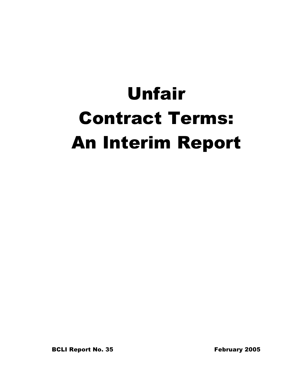# Unfair Contract Terms: An Interim Report

BCLI Report No. 35 February 2005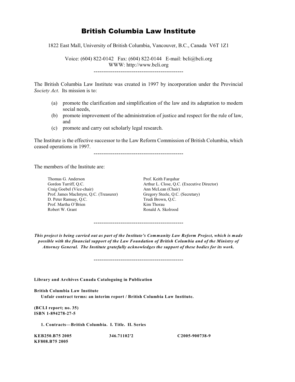## British Columbia Law Institute

1822 East Mall, University of British Columbia, Vancouver, B.C., Canada V6T 1Z1

Voice: (604) 822-0142 Fax: (604) 822-0144 E-mail: bcli@bcli.org WWW: http://www.bcli.org

-----------------------------------------------

The British Columbia Law Institute was created in 1997 by incorporation under the Provincial *Society Act*. Its mission is to:

- (a) promote the clarification and simplification of the law and its adaptation to modern social needs,
- (b) promote improvement of the administration of justice and respect for the rule of law, and
- (c) promote and carry out scholarly legal research.

The Institute is the effective successor to the Law Reform Commission of British Columbia, which ceased operations in 1997.

-----------------------------------------------

The members of the Institute are:

Thomas G. Anderson Prof. Keith Farquhar Craig Goebel (Vice-chair)<br>
Prof. James MacIntyre, O.C. (Treasurer)<br>
Gregory Steele, O.C. (Secretary) Prof. James MacIntyre, Q.C. (Treasurer) Gregory Steele, Q.C.<br>
D. Peter Ramsay, Q.C. (Secretary) Gramman C.C. (Secretary) Gramman C.C. D. Peter Ramsay, Q.C. Trudi Brown, Q.C. Prof. Martha O'Brien Robert W. Grant Ronald A. Skolrood

Gordon Turriff, Q.C. **Arthur L. Close, Q.C. (Executive Director)** 

*This project is being carried out as part of the Institute's Community Law Reform Project, which is made possible with the financial support of the Law Foundation of British Columbia and of the Ministry of Attorney General. The Institute gratefully acknowledges the support of these bodies for its work.*

-----------------------------------------------

-----------------------------------------------

**Library and Archives Canada Cataloguing in Publication**

**British Columbia Law Institute**

**Unfair contract terms: an interim report / British Columbia Law Institute.**

**(BCLI report; no. 35) ISBN 1-894278-27-5**

**1. Contracts—British Columbia. I. Title. II. Series**

**KEB250.B75 2005 346.71102'2 C2005-900738-9 KF808.B75 2005**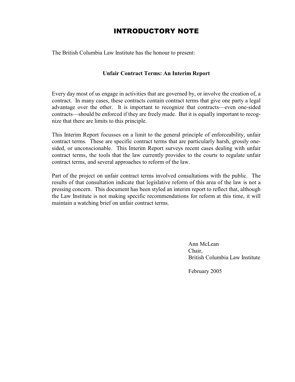# INTRODUCTORY NOTE

The British Columbia Law Institute has the honour to present:

## **Unfair Contract Terms: An Interim Report**

Every day most of us engage in activities that are governed by, or involve the creation of, a contract. In many cases, these contracts contain contract terms that give one party a legal advantage over the other. It is important to recognize that contracts—even one-sided contracts—should be enforced if they are freely made. But it is equally important to recognize that there are limits to this principle.

This Interim Report focusses on a limit to the general principle of enforceability, unfair contract terms. These are specific contract terms that are particularly harsh, grossly onesided, or unconscionable. This Interim Report surveys recent cases dealing with unfair contract terms, the tools that the law currently provides to the courts to regulate unfair contract terms, and several approaches to reform of the law.

Part of the project on unfair contract terms involved consultations with the public. The results of that consultation indicate that legislative reform of this area of the law is not a pressing concern. This document has been styled an interim report to reflect that, although the Law Institute is not making specific recommendations for reform at this time, it will maintain a watching brief on unfair contract terms.

> Ann McLean Chair, British Columbia Law Institute

February 2005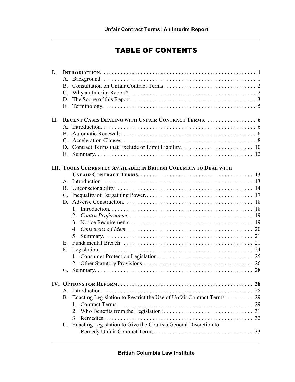# TABLE OF CONTENTS

| I.         |                |                                                                       |  |
|------------|----------------|-----------------------------------------------------------------------|--|
|            | Α.             |                                                                       |  |
|            | B <sub>r</sub> |                                                                       |  |
|            | $C_{\cdot}$    |                                                                       |  |
|            | D.             |                                                                       |  |
|            | E.             |                                                                       |  |
| <b>II.</b> |                | <b>RECENT CASES DEALING WITH UNFAIR CONTRACT TERMS.  6</b>            |  |
|            | $A_{\cdot}$    |                                                                       |  |
|            | B.             |                                                                       |  |
|            | $C_{\cdot}$    |                                                                       |  |
|            | D.             |                                                                       |  |
|            |                |                                                                       |  |
|            | Ε.             |                                                                       |  |
|            |                | III. TOOLS CURRENTLY AVAILABLE IN BRITISH COLUMBIA TO DEAL WITH       |  |
|            |                |                                                                       |  |
|            | $A_{-}$        |                                                                       |  |
|            | $B_{-}$        |                                                                       |  |
|            | $C_{\cdot}$    |                                                                       |  |
|            |                |                                                                       |  |
|            |                |                                                                       |  |
|            |                |                                                                       |  |
|            |                |                                                                       |  |
|            |                | 4.                                                                    |  |
|            |                | 5.                                                                    |  |
|            | Е.             |                                                                       |  |
|            | $F_{\rm{L}}$   |                                                                       |  |
|            |                |                                                                       |  |
|            |                |                                                                       |  |
|            | G.             |                                                                       |  |
|            |                |                                                                       |  |
|            |                |                                                                       |  |
|            | A.             |                                                                       |  |
|            | <b>B.</b>      | Enacting Legislation to Restrict the Use of Unfair Contract Terms. 29 |  |
|            |                | $1_{-}$                                                               |  |
|            |                | 2.                                                                    |  |
|            |                |                                                                       |  |
|            | C.             | Enacting Legislation to Give the Courts a General Discretion to       |  |
|            |                |                                                                       |  |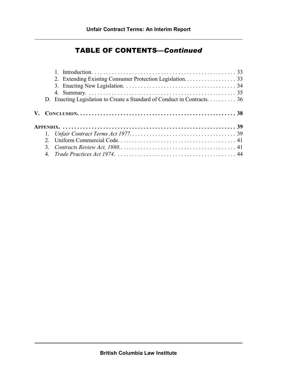# TABLE OF CONTENTS—*Continued*

|  | D. Enacting Legislation to Create a Standard of Conduct in Contracts 36 |  |
|--|-------------------------------------------------------------------------|--|
|  |                                                                         |  |
|  |                                                                         |  |
|  |                                                                         |  |
|  |                                                                         |  |
|  |                                                                         |  |
|  |                                                                         |  |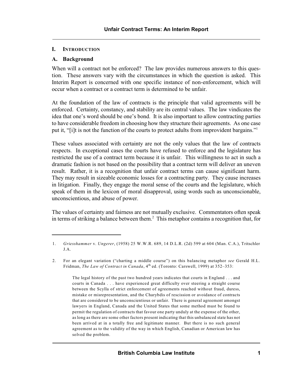## **I. INTRODUCTION**

## **A. Background**

When will a contract not be enforced? The law provides numerous answers to this question. These answers vary with the circumstances in which the question is asked. This Interim Report is concerned with one specific instance of non-enforcement, which will occur when a contract or a contract term is determined to be unfair.

At the foundation of the law of contracts is the principle that valid agreements will be enforced. Certainty, constancy, and stability are its central values. The law vindicates the idea that one's word should be one's bond. It is also important to allow contracting parties to have considerable freedom in choosing how they structure their agreements. As one case put it, "[i]t is not the function of the courts to protect adults from improvident bargains."<sup>1</sup>

These values associated with certainty are not the only values that the law of contracts respects. In exceptional cases the courts have refused to enforce and the legislature has restricted the use of a contract term because it is unfair. This willingness to act in such a dramatic fashion is not based on the possibility that a contract term will deliver an uneven result. Rather, it is a recognition that unfair contract terms can cause significant harm. They may result in sizeable economic losses for a contracting party. They cause increases in litigation. Finally, they engage the moral sense of the courts and the legislature, which speak of them in the lexicon of moral disapproval, using words such as unconscionable, unconscientious, and abuse of power.

The values of certainty and fairness are not mutually exclusive. Commentators often speak in terms of striking a balance between them. $<sup>2</sup>$  This metaphor contains a recognition that, for</sup>

<sup>1.</sup> *Griesshammer* v. *Ungerer*, (1958) 25 W.W.R. 689, 14 D.L.R. (2d) 599 at 604 (Man. C.A.), Tritschler J.A.

<sup>2.</sup> For an elegant variation ("charting a middle course") on this balancing metaphor *see* Gerald H.L. Fridman, *The Law of Contract in Canada*, 4<sup>th</sup> ed. (Toronto: Carswell, 1999) at 352–353:

The legal history of the past two hundred years indicates that courts in England . . . and courts in Canada . . . have experienced great difficulty over steering a straight course between the Scylla of strict enforcement of agreements reached without fraud, duress, mistake or misrepresentation, and the Charybdis of rescission or avoidance of contracts that are considered to be unconscientious or unfair. There is general agreement amongst lawyers in England, Canada and the United States that some method must be found to permit the regulation of contracts that favour one party unduly at the expense of the other, as long as there are some other factors present indicating that this unbalanced state has not been arrived at in a totally free and legitimate manner. But there is no such general agreement as to the validity of the way in which English, Canadian or American law has solved the problem.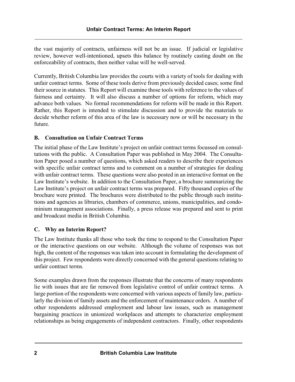the vast majority of contracts, unfairness will not be an issue. If judicial or legislative review, however well-intentioned, upsets this balance by routinely casting doubt on the enforceability of contracts, then neither value will be well-served.

Currently, British Columbia law provides the courts with a variety of tools for dealing with unfair contract terms. Some of these tools derive from previously decided cases; some find their source in statutes. This Report will examine those tools with reference to the values of fairness and certainty. It will also discuss a number of options for reform, which may advance both values. No formal recommendations for reform will be made in this Report. Rather, this Report is intended to stimulate discussion and to provide the materials to decide whether reform of this area of the law is necessary now or will be necessary in the future.

## **B. Consultation on Unfair Contract Terms**

The initial phase of the Law Institute's project on unfair contract terms focussed on consultations with the public. A Consultation Paper was published in May 2004. The Consultation Paper posed a number of questions, which asked readers to describe their experiences with specific unfair contract terms and to comment on a number of strategies for dealing with unfair contract terms. These questions were also posted in an interactive format on the Law Institute's website. In addition to the Consultation Paper, a brochure summarizing the Law Institute's project on unfair contract terms was prepared. Fifty thousand copies of the brochure were printed. The brochures were distributed to the public through such institutions and agencies as libraries, chambers of commerce, unions, municipalities, and condominium management associations. Finally, a press release was prepared and sent to print and broadcast media in British Columbia.

## **C. Why an Interim Report?**

The Law Institute thanks all those who took the time to respond to the Consultation Paper or the interactive questions on our website. Although the volume of responses was not high, the content of the responses was taken into account in formulating the development of this project. Few respondents were directly concerned with the general questions relating to unfair contract terms.

Some examples drawn from the responses illustrate that the concerns of many respondents lie with issues that are far removed from legislative control of unfair contract terms. A large portion of the respondents were concerned with various aspects of family law, particularly the division of family assets and the enforcement of maintenance orders. A number of other respondents addressed employment and labour law issues, such as management bargaining practices in unionized workplaces and attempts to characterize employment relationships as being engagements of independent contractors. Finally, other respondents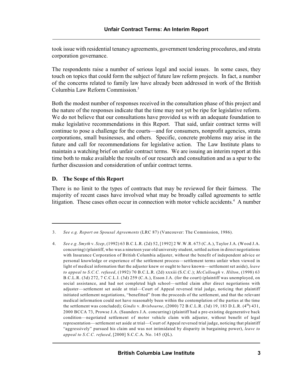took issue with residential tenancy agreements, government tendering procedures, and strata corporation governance.

The respondents raise a number of serious legal and social issues. In some cases, they touch on topics that could form the subject of future law reform projects. In fact, a number of the concerns related to family law have already been addressed in work of the British Columbia Law Reform Commission.<sup>3</sup>

Both the modest number of responses received in the consultation phase of this project and the nature of the responses indicate that the time may not yet be ripe for legislative reform. We do not believe that our consultations have provided us with an adequate foundation to make legislative recommendations in this Report. That said, unfair contract terms will continue to pose a challenge for the courts—and for consumers, nonprofit agencies, strata corporations, small businesses, and others. Specific, concrete problems may arise in the future and call for recommendations for legislative action. The Law Institute plans to maintain a watching brief on unfair contract terms. We are issuing an interim report at this time both to make available the results of our research and consultation and as a spur to the further discussion and consideration of unfair contract terms.

## **D. The Scope of this Report**

There is no limit to the types of contracts that may be reviewed for their fairness. The majority of recent cases have involved what may be broadly called agreements to settle litigation. These cases often occur in connection with motor vehicle accidents.<sup>4</sup> A number

<sup>3.</sup> *See e.g. Report on Spousal Agreements* (LRC 87) (Vancouver: The Commission, 1986).

<sup>4.</sup> *See e.g. Smyth* v. *Szep*, (1992) 63 B.C.L.R. (2d) 52, [1992] 2 W.W.R. 673 (C.A.), Taylor J.A. (Wood J.A. concurring) (plaintiff, who was a nineteen year old university student, settled action in direct negotiations with Insurance Corporation of British Columbia adjuster, without the benefit of independent advice or personal knowledge or experience of the settlement process—settlement terms unfair when viewed in light of medical information that the adjuster knew or ought to have known—settlement set aside), *leave to appeal to S.C.C. refused*, (1992) 70 B.C.L.R. (2d) xxxiii (S.C.C.); *McCullough* v. *Hilton*, (1998) 63 B.C.L.R. (3d) 272, 7 C.C.L.I. (3d) 259 (C.A.), Esson J.A. (for the court) (plaintiff was unemployed, on social assistance, and had not completed high school—settled claim after direct negotiations with adjuster—settlement set aside at trial—Court of Appeal reversed trial judge, noticing that plaintiff initiated settlement negotiations, "benefitted" from the proceeds of the settlement, and that the relevant medical information could not have reasonably been within the contemplation of the parties at the time the settlement was concluded); *Gindis* v. *Brisbourne*, (2000) 72 B.C.L.R. (3d) 19, 183 D.L.R. (4<sup>th</sup>) 431, 2000 BCCA 73, Prowse J.A. (Saunders J.A. concurring) (plaintiff had a pre-existing degenerative back condition—negotiated settlement of motor vehicle claim with adjuster, without benefit of legal representation—settlement set aside at trial—Court of Appeal reversed trial judge, noticing that plaintiff "aggressively" pursued his claim and was not intimidated by disparity in bargaining power), *leave to appeal to S.C.C. refused*, [2000] S.C.C.A. No. 145 (QL).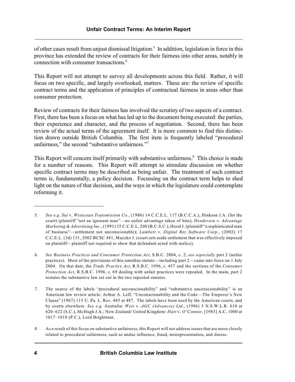of other cases result from unjust dismissal litigation.<sup>5</sup> In addition, legislation in force in this province has extended the review of contracts for their fairness into other areas, notably in connection with consumer transactions. 6

This Report will not attempt to survey all developments across this field. Rather, it will focus on two specific, and largely overlooked, matters. These are: the review of specific contract terms and the application of principles of contractual fairness in areas other than consumer protection.

Review of contracts for their fairness has involved the scrutiny of two aspects of a contract. First, there has been a focus on what has led up to the document being executed: the parties, their experience and character, and the process of negotiation. Second, there has been review of the actual terms of the agreement itself. It is more common to find this distinction drawn outside British Columbia. The first item is frequently labeled "procedural unfairness," the second "substantive unfairness."<sup>7</sup>

This Report will concern itself primarily with substantive unfairness.<sup>8</sup> This choice is made for a number of reasons. This Report will attempt to stimulate discussion on whether specific contract terms may be described as being unfair. The treatment of such contract terms is, fundamentally, a policy decision. Focussing on the contract term helps to shed light on the nature of that decision, and the ways in which the legislature could contemplate reforming it.

<sup>5.</sup> *See e.g. Sui* v. *Westcoast Transmission Co.*, (1986) 14 C.C.E.L. 117 (B.C.C.A.), Hinkson J.A. (for the court) (plaintiff "not an ignorant man"—no unfair advantage taken of him); *Henderson* v. *Advantage Marketing & Advertising Inc.*, (1991) 35 C.C.E.L. 200 (B.C.S.C.), Hood J. (plaintiff "a sophisticated man of business"—settlement not unconscionable); *Lambert* v. *Digital Rez Software Corp.*, (2002) 17 C.C.E.L. (3d) 131, 2002 BCSC 481, Maczko J. (court sets aside settlement that was effectively imposed on plaintiff—plaintiff not required to show that defendant acted with malice).

<sup>6.</sup> *See Business Practices and Consumer Protection Act*, S.B.C. 2004, c. 2; *see especially* part 2 (unfair practices). Most of the provisions of this omnibus statute—including part 2—came into force on 1 July 2004. On that date, the *Trade Practice Act*, R.S.B.C. 1996, c. 457 and the sections of the *Consumer Protection Act*, R.S.B.C. 1996, c. 69 dealing with unfair practices were repealed. In the main, part 2 restates the substantive law set out in the two repealed statutes.

<sup>7.</sup> The source of the labels "procedural unconscionability" and "substantive unconscionability" is an American law review article: Arthur A. Leff, "Unconscionability and the Code—The Emperor's New Clause" (1967) 115 U. Pa. L. Rev. 485 at 487. The labels have been used by the American courts, and by courts elsewhere. *See e.g.* Australia: *West* v. *AGC (Advances) Ltd.*, (1986) 5 N.S.W.L.R. 610 at 620–622 (S.C.), McHugh J.A.; New Zealand/ United Kingdom: *Hart* v. *O'Connor*, [1985] A.C. 1000 at 1017–1018 (P.C.), Lord Brightman.

<sup>8.</sup> As a result of this focus on substantive unfairness, this Report will not address issues that are more closely related to procedural unfairness, such as undue influence, fraud, misrepresentation, and duress.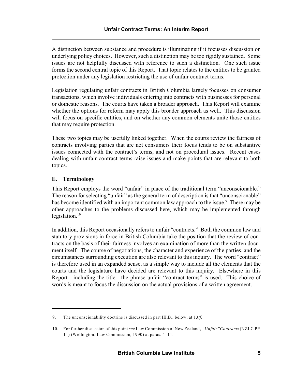A distinction between substance and procedure is illuminating if it focusses discussion on underlying policy choices. However, such a distinction may be too rigidly sustained. Some issues are not helpfully discussed with reference to such a distinction. One such issue forms the second central topic of this Report. That topic relates to the entities to be granted protection under any legislation restricting the use of unfair contract terms.

Legislation regulating unfair contracts in British Columbia largely focusses on consumer transactions, which involve individuals entering into contracts with businesses for personal or domestic reasons. The courts have taken a broader approach. This Report will examine whether the options for reform may apply this broader approach as well. This discussion will focus on specific entities, and on whether any common elements unite those entities that may require protection.

These two topics may be usefully linked together. When the courts review the fairness of contracts involving parties that are not consumers their focus tends to be on substantive issues connected with the contract's terms, and not on procedural issues. Recent cases dealing with unfair contract terms raise issues and make points that are relevant to both topics.

## **E. Terminology**

This Report employs the word "unfair" in place of the traditional term "unconscionable." The reason for selecting "unfair" as the general term of description is that "unconscionable" has become identified with an important common law approach to the issue.<sup>9</sup> There may be other approaches to the problems discussed here, which may be implemented through legislation. $10$ 

In addition, this Report occasionally refers to unfair "contracts." Both the common law and statutory provisions in force in British Columbia take the position that the review of contracts on the basis of their fairness involves an examination of more than the written document itself. The course of negotiations, the character and experience of the parties, and the circumstances surrounding execution are also relevant to this inquiry. The word "contract" is therefore used in an expanded sense, as a simple way to include all the elements that the courts and the legislature have decided are relevant to this inquiry. Elsewhere in this Report—including the title—the phrase unfair "contract terms" is used. This choice of words is meant to focus the discussion on the actual provisions of a written agreement.

<sup>9.</sup> The unconscionability doctrine is discussed in part III.B., below, at 13*ff*.

<sup>10.</sup> For further discussion of this point *see* Law Commission of New Zealand, *"Unfair"Contracts* (NZLC PP 11) (Wellington: Law Commission, 1990) at paras. 4–11.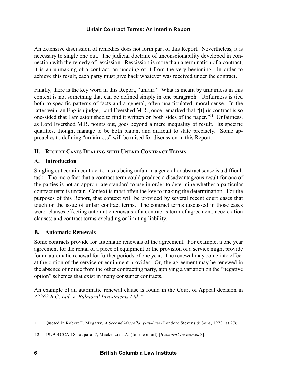An extensive discussion of remedies does not form part of this Report. Nevertheless, it is necessary to single one out. The judicial doctrine of unconscionability developed in connection with the remedy of rescission. Rescission is more than a termination of a contract; it is an unmaking of a contract, an undoing of it from the very beginning. In order to achieve this result, each party must give back whatever was received under the contract.

Finally, there is the key word in this Report, "unfair." What is meant by unfairness in this context is not something that can be defined simply in one paragraph. Unfairness is tied both to specific patterns of facts and a general, often unarticulated, moral sense. In the latter vein, an English judge, Lord Evershed M.R., once remarked that "[t]his contract is so one-sided that I am astonished to find it written on both sides of the paper."<sup>11</sup> Unfairness, as Lord Evershed M.R. points out, goes beyond a mere inequality of result. Its specific qualities, though, manage to be both blatant and difficult to state precisely. Some approaches to defining "unfairness" will be raised for discussion in this Report.

## **II. RECENT CASES DEALING WITH UNFAIR CONTRACT TERMS**

## **A. Introduction**

Singling out certain contract terms as being unfair in a general or abstract sense is a difficult task. The mere fact that a contract term could produce a disadvantageous result for one of the parties is not an appropriate standard to use in order to determine whether a particular contract term is unfair. Context is most often the key to making the determination. For the purposes of this Report, that context will be provided by several recent court cases that touch on the issue of unfair contract terms. The contract terms discussed in those cases were: clauses effecting automatic renewals of a contract's term of agreement; acceleration clauses; and contract terms excluding or limiting liability.

## **B. Automatic Renewals**

Some contracts provide for automatic renewals of the agreement. For example, a one year agreement for the rental of a piece of equipment or the provision of a service might provide for an automatic renewal for further periods of one year. The renewal may come into effect at the option of the service or equipment provider. Or, the agreement may be renewed in the absence of notice from the other contracting party, applying a variation on the "negative option" schemes that exist in many consumer contracts.

An example of an automatic renewal clause is found in the Court of Appeal decision in *32262 B.C. Ltd.* v. *Balmoral Investments Ltd.*12

<sup>11.</sup> Quoted in Robert E. Megarry, *A Second Miscellany-at-Law* (London: Stevens & Sons, 1973) at 276.

<sup>12.</sup> 1999 BCCA 184 at para. 7, Mackenzie J.A. (for the court) [*Balmoral Investments*].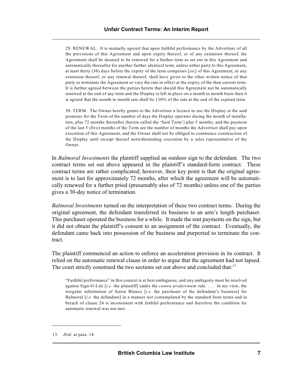29. RENEWAL. It is mutually agreed that upon faithful performance by the Advertiser of all the provisions of this Agreement and upon expiry thereof, or of any extension thereof, the Agreement shall be deemed to be renewed for a further term as set out in this Agreement and automatically thereafter for another further identical term, unless either party to this Agreement, at least thirty (30) days before the expiry of the term comprises [*sic*] of this Agreement, or any extension thereof, or any renewal thereof, shall have given to the other written notice of that party to terminate the Agreement or vary the rate in effect at the expiry of the then current term. It is further agreed between the parties hereto that should this Agreement not be automatically renewed at the end of any term and the Display is left in place on a month to month basis then it is agreed that the month to month rate shall be 130% of the rate at the end of the expired term.

30. TERM. The Owner hereby grants to the Advertiser a licence to use the Display at the said premises for the Term of the number of days the Display operates during the month of installation, plus 72 months thereafter (herein called the 'Said Term') plus 5 months, and the payment of the last 5 (five) months of the Term are the number of months the Advertiser shall pay upon execution of this Agreement, and the Owner shall not be obliged to commence construction of the Display until receipt thereof notwithstanding execution by a sales representative of the Owner.

In *Balmoral Investments* the plaintiff supplied an outdoor sign to the defendant. The two contract terms set out above appeared in the plaintiff's standard-form contract. These contract terms are rather complicated; however, their key point is that the original agreement is to last for approximately 72 months, after which the agreement will be automatically renewed for a further priod (presumably also of 72 months) unless one of the parties gives a 30-day notice of termination.

*Balmoral Investments* turned on the interpretation of these two contract terms. During the original agreement, the defendant transferred its business to an arm's length purchaser. This purchaser operated the business for a while. It made the rent payments on the sign, but it did not obtain the plaintiff's consent to an assignment of the contract. Eventually, the defendant came back into possession of the business and purported to terminate the contract.

The plaintiff commenced an action to enforce an acceleration provision in its contract. It relied on the automatic renewal clause in order to argue that the agreement had not lapsed. The court strictly construed the two sections set out above and concluded that:<sup>13</sup>

"Faithful performance" in this context is at best ambiguous, and any ambiguity must be resolved against Sign-O-Lite [*i.e.* the plaintiff] under the *contra proferentem* rule. . . . In my view, the irregular substitution of Sierra Blanca [*i.e.* the purchaser of the defendant's business] for Balmoral [*i.e.* the defendant] in a manner not contemplated by the standard form terms and in breach of clause 24 is inconsistent with faithful performance and therefore the condition for automatic renewal was not met.

<sup>13.</sup> *Ibid.* at para. 14.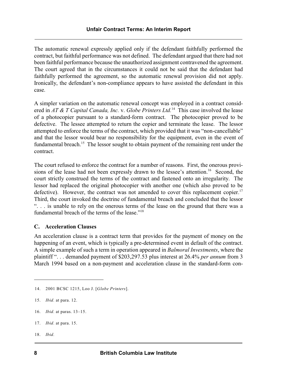The automatic renewal expressly applied only if the defendant faithfully performed the contract, but faithful performance was not defined. The defendant argued that there had not been faithful performance because the unauthorized assignment contravened the agreement. The court agreed that in the circumstances it could not be said that the defendant had faithfully performed the agreement, so the automatic renewal provision did not apply. Ironically, the defendant's non-compliance appears to have assisted the defendant in this case.

A simpler variation on the automatic renewal concept was employed in a contract considered in *AT & T Capital Canada, Inc.* v. *Globe Printers Ltd*.<sup>14</sup> This case involved the lease of a photocopier pursuant to a standard-form contract. The photocopier proved to be defective. The lessee attempted to return the copier and terminate the lease. The lessor attempted to enforce the terms of the contract, which provided that it was "non-cancellable" and that the lessor would bear no responsibility for the equipment, even in the event of fundamental breach.<sup>15</sup> The lessor sought to obtain payment of the remaining rent under the contract.

The court refused to enforce the contract for a number of reasons. First, the onerous provisions of the lease had not been expressly drawn to the lessee's attention.<sup>16</sup> Second, the court strictly construed the terms of the contract and fastened onto an irregularity. The lessor had replaced the original photocopier with another one (which also proved to be defective). However, the contract was not amended to cover this replacement copier.<sup>17</sup> Third, the court invoked the doctrine of fundamental breach and concluded that the lessor ". . . is unable to rely on the onerous terms of the lease on the ground that there was a fundamental breach of the terms of the lease."<sup>18</sup>

## **C. Acceleration Clauses**

An acceleration clause is a contract term that provides for the payment of money on the happening of an event, which is typically a pre-determined event in default of the contract. A simple example of such a term in operation appeared in *Balmoral Investments*, where the plaintiff ". . . demanded payment of \$203,297.53 plus interest at 26.4% *per annum* from 3 March 1994 based on a non-payment and acceleration clause in the standard-form con-

- 16. *Ibid.* at paras. 13–15.
- 17. *Ibid.* at para. 15.
- 18. *Ibid.*

<sup>14.</sup> 2001 BCSC 1215, Loo J. [*Globe Printers*].

<sup>15.</sup> *Ibid.* at para. 12.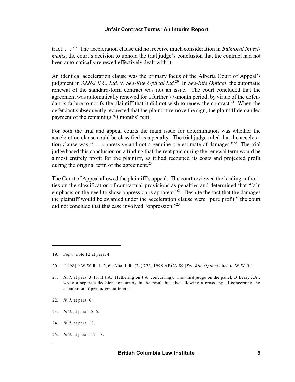tract. . . .<sup>"19</sup> The acceleration clause did not receive much consideration in *Balmoral Investments*; the court's decision to uphold the trial judge's conclusion that the contract had not been automatically renewed effectively dealt with it.

An identical acceleration clause was the primary focus of the Alberta Court of Appeal's judgment in 32262 B.C. Ltd. v. See-Rite Optical Ltd.<sup>20</sup> In See-Rite Optical, the automatic renewal of the standard-form contract was not an issue. The court concluded that the agreement was automatically renewed for a further 77-month period, by virtue of the defendant's failure to notify the plaintiff that it did not wish to renew the contract.<sup>21</sup> When the defendant subsequently requested that the plaintiff remove the sign, the plaintiff demanded payment of the remaining 70 months' rent.

For both the trial and appeal courts the main issue for determination was whether the acceleration clause could be classified as a penalty. The trial judge ruled that the acceleration clause was "... oppressive and not a genuine pre-estimate of damages." <sup>22</sup> The trial judge based this conclusion on a finding that the rent paid during the renewal term would be almost entirely profit for the plaintiff, as it had recouped its costs and projected profit during the original term of the agreement.<sup>23</sup>

The Court of Appeal allowed the plaintiff's appeal. The court reviewed the leading authorities on the classification of contractual provisions as penalties and determined that "[a]n emphasis on the need to show oppression is apparent."<sup>24</sup> Despite the fact that the damages the plaintiff would be awarded under the acceleration clause were "pure profit," the court did not conclude that this case involved "oppression."25

- 22. *Ibid.* at para. 6.
- 23. *Ibid.* at paras. 5–6.
- 24. *Ibid.* at para. 13.
- 25. *Ibid.* at paras. 17–18.

<sup>19.</sup> *Supra* note 12 at para. 4.

<sup>20.</sup> [1998] 9 W.W.R. 442, 60 Alta. L.R. (3d) 223, 1998 ABCA 89 [*See-Rite Optical* cited to W.W.R.].

<sup>21.</sup> *Ibid.* at para. 3, Hunt J.A. (Hetherington J.A. concurring). The third judge on the panel, O'Leary J.A., wrote a separate decision concurring in the result but also allowing a cross-appeal concerning the calculation of pre-judgment interest.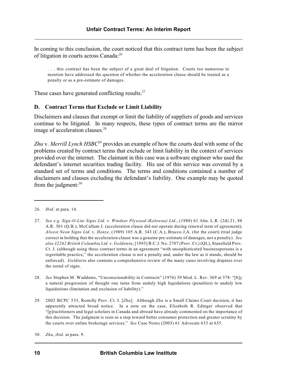In coming to this conclusion, the court noticed that this contract term has been the subject of litigation in courts across Canada:<sup>26</sup>

. . . this contract has been the subject of a great deal of litigation. Courts too numerous to mention have addressed the question of whether the acceleration clause should be treated as a penalty or as a pre-estimate of damages.

These cases have generated conflicting results.<sup>27</sup>

## **D. Contract Terms that Exclude or Limit Liability**

Disclaimers and clauses that exempt or limit the liability of suppliers of goods and services continue to be litigated. In many respects, these types of contract terms are the mirror image of acceleration clauses.<sup>28</sup>

*Zhu* v. *Merrill Lynch HSBC*<sup>29</sup> provides an example of how the courts deal with some of the problems created by contract terms that exclude or limit liability in the context of services provided over the internet. The claimant in this case was a software engineer who used the defendant's internet securities trading facility. His use of this service was covered by a standard set of terms and conditions. The terms and conditions contained a number of disclaimers and clauses excluding the defendant's liability. One example may be quoted from the judgment: $30$ 

<sup>26.</sup> *Ibid.* at para. 14.

<sup>27.</sup> *See e.g. Sign-O-Lite Signs Ltd.* v. *Windsor Plywood (Kelowna) Ltd.*, (1988) 61 Alta. L.R. (2d) 21, 88 A.R. 301 (Q.B.), McCallum J. (acceleration clause did not operate during renewal term of agreement); *Alwest Neon Signs Ltd.* v. *Henze*, (1989) 105 A.R. 343 (C.A.), Bracco J.A. (for the court) (trial judge correct in holding that the acceleration clause was a genuine pre-estimate of damages, not a penalty). *See also 32262 British Columbia Ltd.* v. *Goldstein*, [1993] B.C.J. No. 2707 (Prov. Ct.) (QL), Stansfield Prov. Ct. J. (although using these contract terms in an agreement "with unsophisticated businesspersons is a regrettable practice," the acceleration clause is not a penalty and, under the law as it stands, should be enforced). *Goldstein* also contains a comprehensive review of the many cases involving disputes over the rental of signs.

<sup>28.</sup> *See* Stephen M. Waddams, "Unconscionability in Contracts" (1976) 39 Mod. L. Rev. 369 at 378: "[b]y a natural progression of thought one turns from unduly high liquidations (penalties) to unduly low liquidations (limitation and exclusion of liability)."

<sup>29.</sup> 2002 BCPC 535, Romilly Prov. Ct. J. [*Zhu*]. Although *Zhu* is a Small Claims Court decision, it has apparently attracted broad notice. In a note on the case, Elizabeth R. Edinger observed that "[p]ractitioners and legal scholars in Canada and abroad have already commented on the importance of this decision. The judgment is seen as a step toward better consumer protection and greater scrutiny by the courts over online brokerage services." *See* Case Notes (2003) 61 Advocate 633 at 635.

<sup>30.</sup> *Zhu*, *ibid.* at para. 9.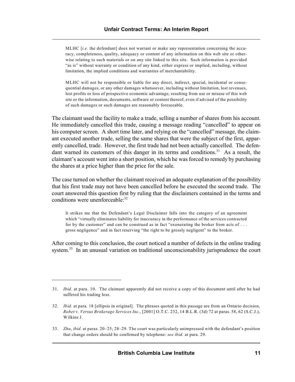MLHC *<i>[i.e.* the defendant] does not warrant or make any representation concerning the accuracy, completeness, quality, adequacy or content of any information on this web site or otherwise relating to such materials or on any site linked to this site. Such information is provided "as is" without warranty or condition of any kind, either express or implied, including, without limitation, the implied conditions and warranties of merchantability.

MLHC will not be responsible or liable for any direct, indirect, special, incidental or consequential damages, or any other damages whatsoever, including without limitation, lost revenues, lost profits or loss of prospective economic advantage, resulting from use or misuse of this web site or the information, documents, software or content thereof, even if advised of the possibility of such damages or such damages are reasonably foreseeable.

The claimant used the facility to make a trade, selling a number of shares from his account. He immediately cancelled this trade, causing a message reading "cancelled" to appear on his computer screen. A short time later, and relying on the "cancelled" message, the claimant executed another trade, selling the same shares that were the subject of the first, apparently cancelled, trade. However, the first trade had not been actually cancelled. The defendant warned its customers of this danger in its terms and conditions.<sup>31</sup> As a result, the claimant's account went into a short position, which he was forced to remedy by purchasing the shares at a price higher than the price for the sale.

The case turned on whether the claimant received an adequate explanation of the possibility that his first trade may not have been cancelled before he executed the second trade. The court answered this question first by ruling that the disclaimers contained in the terms and conditions were unenforceable:<sup>32</sup>

It strikes me that the Defendant's Legal Disclaimer falls into the category of an agreement which "virtually eliminates liability for inaccuracy in the performance of the services contracted for by the customer" and can be construed as in fact "exonerating the broker from acts of . . . gross negligence" and in fact reserving "the right to be grossly negligent" to the broker.

After coming to this conclusion, the court noticed a number of defects in the online trading system.<sup>33</sup> In an unusual variation on traditional unconscionability jurisprudence the court

<sup>31.</sup> *Ibid.* at para. 10. The claimant apparently did not receive a copy of this document until after he had suffered his trading loss.

<sup>32.</sup> *Ibid.* at para. 18 [ellipsis in original]. The phrases quoted in this passage are from an Ontario decision, *Robet* v. *Versus Brokerage Services Inc.*, [2001] O.T.C. 232, 14 B.L.R. (3d) 72 at paras. 58, 62 (S.C.J.), Wilkins J.

<sup>33.</sup> *Zhu*, *ibid.* at paras. 20–25; 28–29. The court was particularly unimpressed with the defendant's position that change orders should be confirmed by telephone: *see ibid.* at para. 29.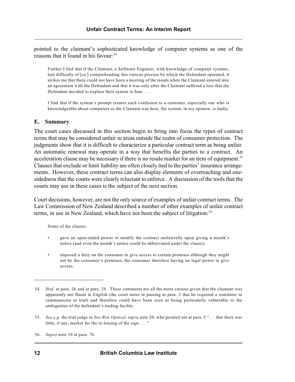pointed to the claimant's sophisticated knowledge of computer systems as one of the reasons that it found in his favour:<sup>34</sup>

Further I find that if the Claimant, a Software Engineer, with knowledge of computer systems, had difficulty of [*sic*] comprehending this curious process by which the Defendant operated, it strikes me that there could not have been a meeting of the minds when the Claimant entered into an agreement with the Defendant and that it was only after the Claimant suffered a loss that the Defendant decided to explain their system to him. . . .

I find that if the system's prompt creates such confusion to a customer, especially one who is knowledgeable about computers as the Claimant was here, the system, in my opinion, is faulty.

## **E. Summary**

The court cases discussed in this section begin to bring into focus the types of contract terms that may be considered unfair in areas outside the realm of consumer protection. The judgments show that it is difficult to characterize a particular contract term as being unfair. An automatic renewal may operate in a way that benefits the parties to a contract. An acceleration clause may be necessary if there is no resale market for an item of equipment.<sup>35</sup> Clauses that exclude or limit liability are often closely tied to the parties' insurance arrangements. However, these contract terms can also display elements of overreaching and onesidedness that the courts were clearly reluctant to enforce. A discussion of the tools that the courts may use in these cases is the subject of the next section.

Court decisions, however, are not the only source of examples of unfair contract terms. The Law Commission of New Zealand described a number of other examples of unfair contract terms, in use in New Zealand, which have not been the subject of litigation:<sup>36</sup>

Some of the clauses:

- gave an open-ended power to modify the contract unilaterally upon giving a month's notice (and even the month's notice could be abbreviated under the clause);
- imposed a duty on the consumer to give access to certain premises although they might not be the consumer's premises, the consumer therefore having no legal power to give access;

<sup>34.</sup> *Ibid.* at para. 26 and at para. 29. These comments are all the more curious given that the claimant was apparently not fluent in English (the court notes in passing at para. 2 that he required a translator to communicate at trial) and therefore could have been seen as being particularly vulnerable to the ambiguities of the defendant's trading facility.

<sup>35.</sup> *See e.g.* the trial judge in *See-Rite Optical*, *supra* note 20, who pointed out at para. 5 ". . . that there was little, if any, market for the re-leasing of the sign. . . ."

<sup>36.</sup> *Supra* note 10 at para. 76.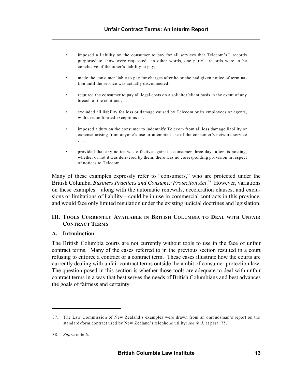- imposed a liability on the consumer to pay for all services that Telecom's<sup>37</sup> records purported to show were requested—in other words, one party's records were to be conclusive of the other's liability to pay;
- made the consumer liable to pay for charges after he or she had given notice of termination until the service was actually disconnected;
- required the consumer to pay all legal costs on a solicitor/client basis in the event of any breach of the contract . . .
- excluded all liability for loss or damage caused by Telecom or its employees or agents, with certain limited exceptions . . .
- imposed a duty on the consumer to indemnify Telecom from all loss damage liability or expense arising from anyone's use or attempted use of the consumer's network service . . .
- provided that any notice was effective against a consumer three days after its posting, whether or not it was delivered by them; there was no corresponding provision in respect of notices to Telecom.

Many of these examples expressly refer to "consumers," who are protected under the British Columbia *Business Practices and Consumer Protection Act*.<sup>38</sup> However, variations on these examples—along with the automatic renewals, acceleration clauses, and exclusions or limitations of liability—could be in use in commercial contracts in this province, and would face only limited regulation under the existing judicial doctrines and legislation.

## **III. TOOLS CURRENTLY AVAILABLE IN BRITISH COLUMBIA TO DEAL WITH UNFAIR CONTRACT TERMS**

## **A. Introduction**

The British Columbia courts are not currently without tools to use in the face of unfair contract terms. Many of the cases referred to in the previous section resulted in a court refusing to enforce a contract or a contract term. These cases illustrate how the courts are currently dealing with unfair contract terms outside the ambit of consumer protection law. The question posed in this section is whether those tools are adequate to deal with unfair contract terms in a way that best serves the needs of British Columbians and best advances the goals of fairness and certainty.

<sup>37.</sup> The Law Commission of New Zealand's examples were drawn from an ombudsman's report on the standard-form contract used by New Zealand's telephone utility: *see ibid.* at para. 75.

<sup>38.</sup> *Supra* note 6.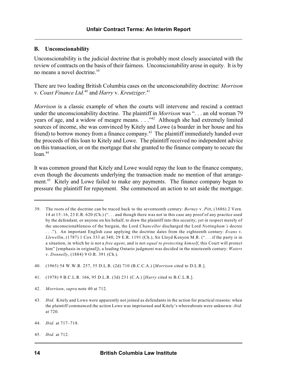## **B. Unconscionability**

Unconscionability is the judicial doctrine that is probably most closely associated with the review of contracts on the basis of their fairness. Unconscionability arose in equity. It is by no means a novel doctrine. 39

There are two leading British Columbia cases on the unconscionability doctrine: *Morrison* v. *Coast Finance Ltd*.<sup>40</sup> and *Harry* v. *Kreutziger*.<sup>41</sup>

*Morrison* is a classic example of when the courts will intervene and rescind a contract under the unconscionability doctrine. The plaintiff in *Morrison* was ". . . an old woman 79 years of age, and a widow of meagre means.  $\ldots$ <sup>242</sup> Although she had extremely limited sources of income, she was convinced by Kitely and Lowe (a boarder in her house and his friend) to borrow money from a finance company.<sup>43</sup> The plaintiff immediately handed over the proceeds of this loan to Kitely and Lowe. The plaintiff received no independent advice on this transaction, or on the mortgage that she granted to the finance company to secure the  $loan.<sup>44</sup>$ 

It was common ground that Kitely and Lowe would repay the loan to the finance company, even though the documents underlying the transaction made no mention of that arrangement. $45$  Kitely and Lowe failed to make any payments. The finance company began to pressure the plaintiff for repayment. She commenced an action to set aside the mortgage.

- 41. (1978) 9 B.C.L.R. 166, 95 D.L.R. (3d) 231 (C.A.) [*Harry* cited to B.C.L.R.].
- 42. *Morrison*, *supra* note 40 at 712.
- 43. *Ibid.* Kitely and Lowe were apparently not joined as defendants in the action for practical reasons: when the plaintiff commenced the action Lowe was imprisoned and Kitely's whereabouts were unknown: *ibid.* at 720.
- 44. *Ibid.* at 717–718.
- 45. *Ibid.* at 712.

<sup>39.</sup> The roots of the doctrine can be traced back to the seventeenth century: *Berney* v. *Pitt*, (1686) 2 Vern. 14 at 15–16, 23 E.R. 620 (Ch.) (". . . and though there was not in this case any proof of any practice used by the defendant, or anyone on his behalf, to draw the plaintiff into this security; yet in respect merely of the unconscionableness of the bargain, the Lord *Chancellor* discharged the Lord *Nottingham's* decree . . ."). An important English case applying the doctrine dates from the eighteenth century: *Evans* v. *Llewellin*, (1787) 1 Cox 333 at 340, 29 E.R. 1191 (Ch.), Sir Lloyd Kenyon M.R. (". . . if the party is in a situation, in which he is not a *free agent*, and is not *equal to protecting himself*, this Court will protect him" [emphasis in original]); a leading Ontario judgment was decided in the nineteenth century: *Waters* v. *Donnelly*, (1884) 9 O.R. 391 (Ch.).

<sup>40.</sup> (1965) 54 W.W.R. 257, 55 D.L.R. (2d) 710 (B.C.C.A.) [*Morrison* cited to D.L.R.].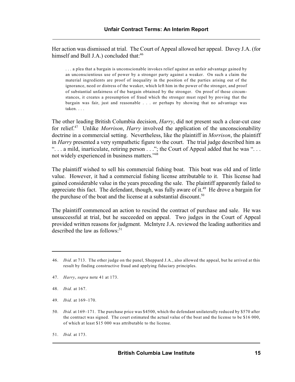Her action was dismissed at trial. The Court of Appeal allowed her appeal. Davey J.A. (for himself and Bull J.A.) concluded that:<sup>46</sup>

. . . a plea that a bargain is unconscionable invokes relief against an unfair advantage gained by an unconscientious use of power by a stronger party against a weaker. On such a claim the material ingredients are proof of inequality in the position of the parties arising out of the ignorance, need or distress of the weaker, which left him in the power of the stronger, and proof of substantial unfairness of the bargain obtained by the stronger. On proof of those circumstances, it creates a presumption of fraud which the stronger must repel by proving that the bargain was fair, just and reasonable . . . or perhaps by showing that no advantage was taken. . . .

The other leading British Columbia decision, *Harry*, did not present such a clear-cut case for relief.<sup>47</sup> Unlike *Morrison*, *Harry* involved the application of the unconscionability doctrine in a commercial setting. Nevertheless, like the plaintiff in *Morrison*, the plaintiff in *Harry* presented a very sympathetic figure to the court. The trial judge described him as "... a mild, inarticulate, retiring person  $\dots$ "; the Court of Appeal added that he was "... not widely experienced in business matters."<sup>48</sup>

The plaintiff wished to sell his commercial fishing boat. This boat was old and of little value. However, it had a commercial fishing license attributable to it. This license had gained considerable value in the years preceding the sale. The plaintiff apparently failed to appreciate this fact. The defendant, though, was fully aware of it.<sup>49</sup> He drove a bargain for the purchase of the boat and the license at a substantial discount.<sup>50</sup>

The plaintiff commenced an action to rescind the contract of purchase and sale. He was unsuccessful at trial, but he succeeded on appeal. Two judges in the Court of Appeal provided written reasons for judgment. McIntyre J.A. reviewed the leading authorities and described the law as follows: $51$ 

- 47. *Harry*, *supra* note 41 at 173.
- 48. *Ibid.* at 167.
- 49. *Ibid.* at 169–170.
- 50. *Ibid.* at 169–171. The purchase price was \$4500, which the defendant unilaterally reduced by \$570 after the contract was signed. The court estimated the actual value of the boat and the license to be \$16 000, of which at least \$15 000 was attributable to the license.
- 51. *Ibid.* at 173.

<sup>46.</sup> *Ibid.* at 713. The other judge on the panel, Sheppard J.A., also allowed the appeal, but he arrived at this result by finding constructive fraud and applying fiduciary principles.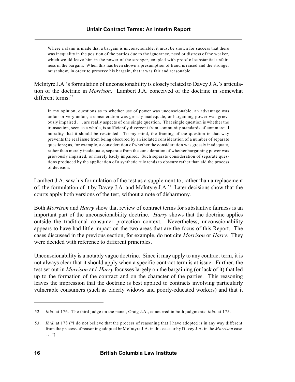Where a claim is made that a bargain is unconscionable, it must be shown for success that there was inequality in the position of the parties due to the ignorance, need or distress of the weaker, which would leave him in the power of the stronger, coupled with proof of substantial unfairness in the bargain. When this has been shown a presumption of fraud is raised and the stronger must show, in order to preserve his bargain, that it was fair and reasonable.

McIntyre J.A.'s formulation of unconscionability is closely related to Davey J.A.'s articulation of the doctrine in *Morrison*. Lambert J.A. conceived of the doctrine in somewhat different terms:<sup>52</sup>

In my opinion, questions as to whether use of power was unconscionable, an advantage was unfair or very unfair, a consideration was grossly inadequate, or bargaining power was grievously impaired . . . are really aspects of one single question. That single question is whether the transaction, seen as a whole, is sufficiently divergent from community standards of commercial morality that it should be rescinded. To my mind, the framing of the question in that way prevents the real issue from being obscured by an isolated consideration of a number of separate questions; as, for example, a consideration of whether the consideration was grossly inadequate, rather than merely inadequate, separate from the consideration of whether bargaining power was grievously impaired, or merely badly impaired. Such separate consideration of separate questions produced by the application of a synthetic rule tends to obscure rather than aid the process of decision.

Lambert J.A. saw his formulation of the test as a supplement to, rather than a replacement of, the formulation of it by Davey J.A. and McIntyre J.A.<sup>53</sup> Later decisions show that the courts apply both versions of the test, without a note of disharmony.

Both *Morrison* and *Harry* show that review of contract terms for substantive fairness is an important part of the unconscionability doctrine. *Harry* shows that the doctrine applies outside the traditional consumer protection context. Nevertheless, unconscionability appears to have had little impact on the two areas that are the focus of this Report. The cases discussed in the previous section, for example, do not cite *Morrison* or *Harry*. They were decided with reference to different principles.

Unconscionability is a notably vague doctrine. Since it may apply to any contract term, it is not always clear that it should apply when a specific contract term is at issue. Further, the test set out in *Morrison* and *Harry* focusses largely on the bargaining (or lack of it) that led up to the formation of the contract and on the character of the parties. This reasoning leaves the impression that the doctrine is best applied to contracts involving particularly vulnerable consumers (such as elderly widows and poorly-educated workers) and that it

<sup>52.</sup> *Ibid.* at 176. The third judge on the panel, Craig J.A., concurred in both judgments: *ibid.* at 175.

<sup>53.</sup> *Ibid.* at 178 ("I do not believe that the process of reasoning that I have adopted is in any way different from the process of reasoning adopted br McIntyre J.A. in this case or by Davey J.A. in the *Morrison* case  $\ldots$ ").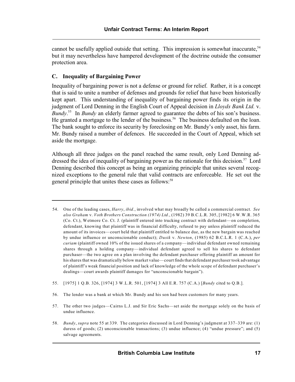cannot be usefully applied outside that setting. This impression is somewhat inaccurate,<sup>54</sup> but it may nevertheless have hampered development of the doctrine outside the consumer protection area.

## **C. Inequality of Bargaining Power**

Inequality of bargaining power is not a defense or ground for relief. Rather, it is a concept that is said to unite a number of defenses and grounds for relief that have been historically kept apart. This understanding of inequality of bargaining power finds its origin in the judgment of Lord Denning in the English Court of Appeal decision in *Lloyds Bank Ltd.* v. *Bundy*<sup>55</sup> In *Bundy* an elderly farmer agreed to guarantee the debts of his son's business. He granted a mortgage to the lender of the business.<sup>56</sup> The business defaulted on the loan. The bank sought to enforce its security by foreclosing on Mr. Bundy's only asset, his farm. Mr. Bundy raised a number of defences. He succeeded in the Court of Appeal, which set aside the mortgage.

Although all three judges on the panel reached the same result, only Lord Denning addressed the idea of inequality of bargaining power as the rationale for this decision.<sup>57</sup> Lord Denning described this concept as being an organizing principle that unites several recognized exceptions to the general rule that valid contracts are enforceable. He set out the general principle that unites these cases as follows:<sup>58</sup>

- 55. [1975] 1 Q.B. 326, [1974] 3 W.L.R. 501, [1974] 3 All E.R. 757 (C.A.) [*Bundy* cited to Q.B.].
- 56. The lender was a bank at which Mr. Bundy and his son had been customers for many years.
- 57. The other two judges—Cairns L.J. and Sir Eric Sachs—set aside the mortgage solely on the basis of undue influence.
- 58. *Bundy*, *supra* note 55 at 339. The categories discussed in Lord Denning's judgment at 337–339 are: (1) duress of goods; (2) unconscionable transactions; (3) undue influence; (4) "undue pressure"; and (5) salvage agreements.

<sup>54.</sup> One of the leading cases, *Harry*, *ibid.*, involved what may broadly be called a commercial contract. *See also Graham* v. *Voth Brothers Construction (1974) Ltd.*, (1982) 39 B.C.L.R. 305, [1982] 6 W.W.R. 365 (Co. Ct.), Wetmore Co. Ct. J. (plaintiff entered into trucking contract with defendant—on completion, defendant, knowing that plaintiff was in financial difficulty, refused to pay unless plaintiff reduced the amount of its invoices—court held that plaintiff entitled to balance due, as the new bargain was reached by undue influence or unconscionable conduct); *Dusik* v. *Newton*, (1985) 62 B.C.L.R. 1 (C.A.), *per curiam* (plaintiff owned 10% of the issued shares of a company—individual defendant owned remaining shares through a holding company—individual defendant agreed to sell his shares to defendant purchaser—the two agree on a plan involving the defendant purchaser offering plaintiff an amount for his shares that was dramatically below market value—court finds that defendant purchaser took advantage of plaintiff's weak financial position and lack of knowledge of the whole scope of defendant purchaser's dealings—court awards plaintiff damages for "unconscionable bargain").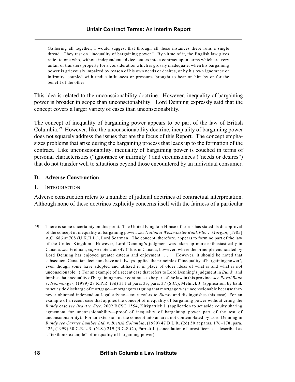Gathering all together, I would suggest that through all these instances there runs a single thread. They rest on "inequality of bargaining power." By virtue of it, the English law gives relief to one who, without independent advice, enters into a contract upon terms which are very unfair or transfers property for a consideration which is grossly inadequate, when his bargaining power is grievously impaired by reason of his own needs or desires, or by his own ignorance or infirmity, coupled with undue influences or pressures brought to bear on him by or for the benefit of the other.

This idea is related to the unconscionability doctrine. However, inequality of bargaining power is broader in scope than unconscionability. Lord Denning expressly said that the concept covers a larger variety of cases than unconscionability.

The concept of inequality of bargaining power appears to be part of the law of British Columbia.<sup>59</sup> However, like the unconscionability doctrine, inequality of bargaining power does not squarely address the issues that are the focus of this Report. The concept emphasizes problems that arise during the bargaining process that leads up to the formation of the contract. Like unconscionability, inequality of bargaining power is couched in terms of personal characteristics ("ignorance or infirmity") and circumstances ("needs or desires") that do not transfer well to situations beyond those encountered by an individual consumer.

## **D. Adverse Construction**

## 1. INTRODUCTION

Adverse construction refers to a number of judicial doctrines of contractual interpretation. Although none of these doctrines explicitly concerns itself with the fairness of a particular

<sup>59.</sup> There is some uncertainty on this point. The United Kingdom House of Lords has stated its disapproval of the concept of inequality of bargaining power: *see National Westminster Bank Plc.* v. *Morgan*, [1985] A.C. 686 at 708 (U.K.H.L.), Lord Scarman. The concept, therefore, appears to form no part of the law of the United Kingdom. However, Lord Denning's judgment was taken up more enthusiastically in Canada: *see* Fridman, *supra* note 2 at 347 ("It is in Canada, however, where the principle enunciated by Lord Denning has enjoyed greater esteem and enjoyment. . . . However, it should be noted that subsequent Canadian decisions have not always applied the principle of 'inequality of bargaining power', even though some have adopted and utilized it in place of older ideas of what is and what is not unconscionable.") For an example of a recent case that refers to Lord Denning's judgment in *Bundy* and implies that inequality of bargaining power continues to be part of the law in this province *see Royal Bank* v. *Ironmonger*, (1999) 28 R.P.R. (3d) 311 at para. 33, para. 37 (S.C.), Melnick J. (application by bank to set aside discharge of mortgage—mortgagors arguing that mortgage was unconscionable because they never obtained independent legal advice—court refers to *Bundy* and distinguishes this case). For an example of a recent case that applies the concept of inequality of bargaining power without citing the *Bundy* case *see Braut* v. *Stec*, 2002 BCSC 1554, Kirkpatrick J. (application to set aside equity sharing agreement for unconscionability—proof of inequality of bargaining power part of the test of unconscionability). For an extension of the concept into an area not contemplated by Lord Denning in *Bundy see Carrier Lumber Ltd.* v. *British Columbia*, (1999) 47 B.L.R. (2d) 50 at paras. 176–178, para. 426, (1999) 30 C.E.L.R. (N.S.) 219 (B.C.S.C.), Parrett J. (cancellation of forest license—described as a "textbook example" of inequality of bargaining power).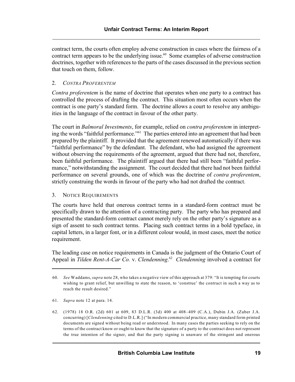contract term, the courts often employ adverse construction in cases where the fairness of a contract term appears to be the underlying issue.<sup>60</sup> Some examples of adverse construction doctrines, together with references to the parts of the cases discussed in the previous section that touch on them, follow.

## 2. *CONTRA PROFERENTEM*

*Contra proferentem* is the name of doctrine that operates when one party to a contract has controlled the process of drafting the contract. This situation most often occurs when the contract is one party's standard form. The doctrine allows a court to resolve any ambiguities in the language of the contract in favour of the other party.

The court in *Balmoral Investments*, for example, relied on *contra proferentem* in interpreting the words "faithful performance."<sup>61</sup> The parties entered into an agreement that had been prepared by the plaintiff. It provided that the agreement renewed automatically if there was "faithful performance" by the defendant. The defendant, who had assigned the agreement without observing the requirements of the agreement, argued that there had not, therefore, been faithful performance. The plaintiff argued that there had still been "faithful performance," notwithstanding the assignment. The court decided that there had not been faithful performance on several grounds, one of which was the doctrine of *contra proferentem*, strictly construing the words in favour of the party who had not drafted the contract.

## 3. NOTICE REQUIREMENTS

The courts have held that onerous contract terms in a standard-form contract must be specifically drawn to the attention of a contracting party. The party who has prepared and presented the standard-form contract cannot merely rely on the other party's signature as a sign of assent to such contract terms. Placing such contract terms in a bold typeface, in capital letters, in a larger font, or in a different colour would, in most cases, meet the notice requirement.

The leading case on notice requirements in Canada is the judgment of the Ontario Court of Appeal in *Tilden Rent-A-Car Co.* v. *Clendenning*.<sup>62</sup> *Clendenning* involved a contract for

- 61. *Supra* note 12 at para. 14.
- 62. (1978) 18 O.R. (2d) 601 at 609, 83 D.L.R. (3d) 400 at 408–409 (C.A.), Dubin J.A. (Zuber J.A. concurring) [*Clendenning* cited to D.L.R.] ("In modern commercial practice, many standard form printed documents are signed without being read or understood. In many cases the parties seeking to rely on the terms of the contract know or ought to know that the signature of a party to the contract does not represent the true intention of the signer, and that the party signing is unaware of the stringent and onerous

<sup>60.</sup> *See* Waddams, *supra* note 28, who takes a negative view of this approach at 379: "It is tempting for courts wishing to grant relief, but unwilling to state the reason, to 'construe' the contract in such a way as to reach the result desired."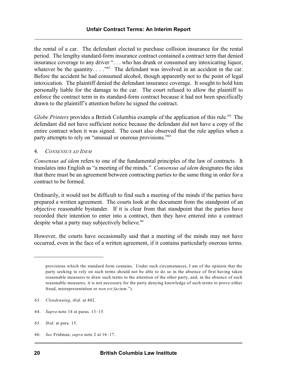the rental of a car. The defendant elected to purchase collision insurance for the rental period. The lengthy standard-form insurance contract contained a contract term that denied insurance coverage to any driver ". . . who has drunk or consumed any intoxicating liquor, whatever be the quantity.  $\ldots$  ."<sup>63</sup> The defendant was involved in an accident in the car. Before the accident he had consumed alcohol, though apparently not to the point of legal intoxication. The plaintiff denied the defendant insurance coverage. It sought to hold him personally liable for the damage to the car. The court refused to allow the plaintiff to enforce the contract term in its standard-form contract because it had not been specifically drawn to the plaintiff's attention before he signed the contract.

*Globe Printers* provides a British Columbia example of the application of this rule.<sup>64</sup> The defendant did not have sufficient notice because the defendant did not have a copy of the entire contract when it was signed. The court also observed that the rule applies when a party attempts to rely on "unusual or onerous provisions."<sup>65</sup>

## 4. *CONSENSUS AD IDEM*

*Consensus ad idem* refers to one of the fundamental principles of the law of contracts. It translates into English as "a meeting of the minds." *Consensus ad idem* designates the idea that there must be an agreement between contracting parties to the same thing in order for a contract to be formed.

Ordinarily, it would not be difficult to find such a meeting of the minds if the parties have prepared a written agreement. The courts look at the document from the standpoint of an objective reasonable bystander. If it is clear from that standpoint that the parties have recorded their intention to enter into a contract, then they have entered into a contract despite what a party may subjectively believe.<sup>66</sup>

However, the courts have occasionally said that a meeting of the minds may not have occurred, even in the face of a written agreement, if it contains particularly onerous terms.

- 64. *Supra* note 14 at paras. 13–15.
- 65. *Ibid.* at para. 15.
- 66. *See* Fridman, *supra* note 2 at 16–17.

provisions which the standard form contains. Under such circumstances, I am of the opinion that the party seeking to rely on such terms should not be able to do so in the absence of first having taken reasonable measures to draw such terms to the attention of the other party, and, in the absence of such reasonable measures, it is not necessary for the party denying knowledge of such terms to prove either fraud, misrepresentation or *non est factum*.").

<sup>63.</sup> *Clendenning*, *ibid.* at 402.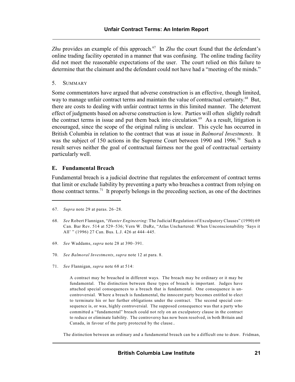Zhu provides an example of this approach.<sup>67</sup> In *Zhu* the court found that the defendant's online trading facility operated in a manner that was confusing. The online trading facility did not meet the reasonable expectations of the user. The court relied on this failure to determine that the claimant and the defendant could not have had a "meeting of the minds."

5. SUMMARY

Some commentators have argued that adverse construction is an effective, though limited, way to manage unfair contract terms and maintain the value of contractual certainty.<sup> $68$ </sup> But, there are costs to dealing with unfair contract terms in this limited manner. The deterrent effect of judgments based on adverse construction is low. Parties will often slightly redraft the contract terms in issue and put them back into circulation.<sup>69</sup> As a result, litigation is encouraged, since the scope of the original ruling is unclear. This cycle has occurred in British Columbia in relation to the contract that was at issue in *Balmoral Investments*. It was the subject of 150 actions in the Supreme Court between 1990 and 1996.<sup>70</sup> Such a result serves neither the goal of contractual fairness nor the goal of contractual certainty particularly well.

## **E. Fundamental Breach**

Fundamental breach is a judicial doctrine that regulates the enforcement of contract terms that limit or exclude liability by preventing a party who breaches a contract from relying on those contract terms.<sup>71</sup> It properly belongs in the preceding section, as one of the doctrines

- 69. *See* Waddams, *supra* note 28 at 390–391.
- 70. *See Balmoral Investments*, *supra* note 12 at para. 8.
- 71. *See* Flannigan, *supra* note 68 at 514:

A contract may be breached in different ways. The breach may be ordinary or it may be fundamental. The distinction between these types of breach is important. Judges have attached special consequences to a breach that is fundamental. One consequence is uncontroversial. Where a breach is fundamental, the innocent party becomes entitled to elect to terminate his or her further obligations under the contract. The second special consequence is, or was, highly controversial. The supposed consequence was that a party who committed a "fundamental" breach could not rely on an exculpatory clause in the contract to reduce or eliminate liability. The controversy has now been resolved, in both Britain and Canada, in favour of the party protected by the clause..

The distinction between an ordinary and a fundamental breach can be a difficult one to draw. Fridman,

<sup>67.</sup> *Supra* note 29 at paras. 26–28.

<sup>68.</sup> *See* Robert Flannigan, "*Hunter Engineering*: The Judicial Regulation of Exculpatory Clauses" (1990) 69 Can. Bar Rev. 514 at 529–536; Vern W. DaRe, "Atlas Unchartered: When Unconscionability 'Says it All' " (1996) 27 Can. Bus. L.J. 426 at 444–445.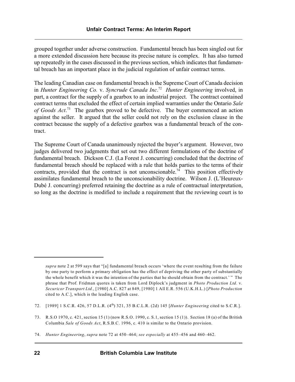grouped together under adverse construction. Fundamental breach has been singled out for a more extended discussion here because its precise nature is complex. It has also turned up repeatedly in the cases discussed in the previous section, which indicates that fundamental breach has an important place in the judicial regulation of unfair contract terms.

The leading Canadian case on fundamental breach is the Supreme Court of Canada decision in *Hunter Engineering Co. v. Syncrude Canada Inc.<sup>72</sup> <i>Hunter Engineering* involved, in part, a contract for the supply of a gearbox to an industrial project. The contract contained contract terms that excluded the effect of certain implied warranties under the Ontario *Sale of Goods Act*.<sup>73</sup> The gearbox proved to be defective. The buyer commenced an action against the seller. It argued that the seller could not rely on the exclusion clause in the contract because the supply of a defective gearbox was a fundamental breach of the contract.

The Supreme Court of Canada unanimously rejected the buyer's argument. However, two judges delivered two judgments that set out two different formulations of the doctrine of fundamental breach. Dickson C.J. (La Forest J. concurring) concluded that the doctrine of fundamental breach should be replaced with a rule that holds parties to the terms of their contracts, provided that the contract is not unconscionable.<sup>74</sup> This position effectively assimilates fundamental breach to the unconscionability doctrine. Wilson J. (L'Heureux-Dubé J. concurring) preferred retaining the doctrine as a rule of contractual interpretation, so long as the doctrine is modified to include a requirement that the reviewing court is to

*supra* note 2 at 599 says that "[a] fundamental breach occurs 'where the event resulting from the failure by one party to perform a primary obligation has the effect of depriving the other party of substantially the whole benefit which it was the intention of the parties that he should obtain from the contract.' " The phrase that Prof. Fridman quotes is taken from Lord Diplock's judgment in *Photo Production Ltd.* v. *Securicor Transport Ltd.*, [1980] A.C. 827 at 849, [1980] 1 All E.R. 556 (U.K.H.L.) [*Photo Production* cited to A.C.], which is the leading English case.

<sup>72. [1989] 1</sup> S.C.R. 426, 57 D.L.R. (4<sup>th</sup>) 321, 35 B.C.L.R. (2d) 145 [*Hunter Engineering* cited to S.C.R.].

<sup>73.</sup> R.S.O 1970, c. 421, section 15 (1) (now R.S.O. 1990, c. S.1, section 15 (1)). Section 18 (a) of the British Columbia *Sale of Goods Act*, R.S.B.C. 1996, c. 410 is similar to the Ontario provision.

<sup>74.</sup> *Hunter Engineering*, *supra* note 72 at 450–464; *see especially* at 455–456 and 460–462.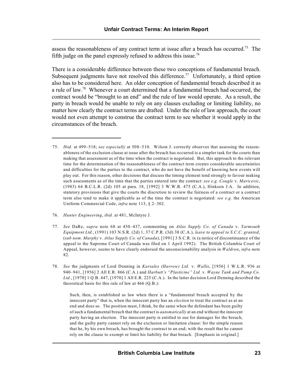assess the reasonableness of any contract term at issue after a breach has occurred.<sup>75</sup> The fifth judge on the panel expressly refused to address this issue.<sup>76</sup>

There is a considerable difference between these two conceptions of fundamental breach. Subsequent judgments have not resolved this difference.<sup>77</sup> Unfortunately, a third option also has to be considered here. An older conception of fundamental breach described it as a rule of law.<sup>78</sup> Whenever a court determined that a fundamental breach had occurred, the contract would be "brought to an end" and the rule of law would operate. As a result, the party in breach would be unable to rely on any clauses excluding or limiting liability, no matter how clearly the contract terms are drafted. Under the rule of law approach, the court would not even attempt to construe the contract term to see whether it would apply in the circumstances of the breach.

- 76. *Hunter Engineering*, *ibid.* at 481, McIntyre J.
- 77. *See* DaRe, *supra* note 68 at 430–437, commenting on *Atlas Supply Co. of Canada* v. *Yarmouth Equipment Ltd.*, (1991) 103 N.S.R. (2d) 1, 37 C.P.R. (3d) 38 (C.A.), *leave to appeal to S.C.C. granted*, (*sub nom. Murphy* v. *Atlas Supply Co. of Canada*), [1991] 3 S.C.R. ix (a notice of discontinuance of the appeal to the Supreme Court of Canada was filed on 1 April 1992). The British Columbia Court of Appeal, however, seems to have clearly endorsed the unconscionability analysis in *Waldron*, *infra* note 82.
- 78. *See* the judgments of Lord Denning in *Karsales (Harrow) Ltd.* v. *Wallis*, [1956] 1 W.L.R. 936 at 940–941, [1956] 2 All E.R. 866 (C.A.) and *Harbutt's "Plasticine" Ltd.* v. *Wayne Tank and Pump Co. Ltd.*, [1970] 1 Q.B. 447, [1970] 1 All E.R. 225 (C.A.). In the latter decision Lord Denning described the theoretical basis for this rule of law at  $466$  (Q.B.):

Such, then, is established as law when there is a "fundamental breach accepted by the innocent party" that is, when the innocent party has an *election* to treat the contract as at an end and does so. The position must, I think, be the same when the defendant has been guilty of such a fundamental breach that the contract is *automatically* at an end without the innocent party having an election. The innocent party is entitled to sue for damages for the breach, and the guilty party cannot rely on the exclusion or limitation clause: for the simple reason that he, by his own breach, has brought the contract to an end; with the result that he cannot rely on the clause to exempt or limit his liability for that breach. [Emphasis in original.]

<sup>75.</sup> *Ibid.* at 499–518; *see especially* at 508–510. Wilson J. correctly observes that assessing the reasonableness of the exclusion clause at issue after the breach has occurred is a simpler task for the courts than making that assessment as of the time when the contract is negotiated. But, this approach to the relevant time for the determination of the reasonableness of the contract term creates considerable uncertainties and difficulties for the parties to the contract, who do not have the benefit of knowing how events will play out. For this reason, other decisions that discuss the timing element tend strongly to favour making such assessments as of the time that the parties entered into the contract: *see e.g. Cougle* v. *Maricevic*, (1983) 64 B.C.L.R. (2d) 105 at para. 18, [1992] 3 W.W.R. 475 (C.A.), Hinkson J.A. In addition, statutory provisions that give the courts the discretion to review the fairness of a contract or a contract term also tend to make it applicable as of the time the contract is negotiated: *see e.g.* the American Uniform Commercial Code, *infra* note 113, § 2–302.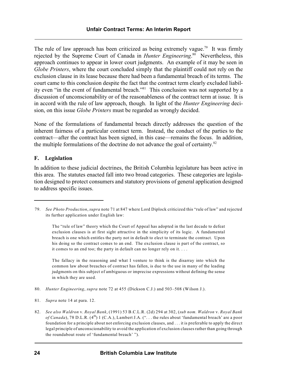The rule of law approach has been criticized as being extremely vague.<sup>79</sup> It was firmly rejected by the Supreme Court of Canada in *Hunter Engineering*.<sup>80</sup> Nevertheless, this approach continues to appear in lower court judgments. An example of it may be seen in *Globe Printers*, where the court concluded simply that the plaintiff could not rely on the exclusion clause in its lease because there had been a fundamental breach of its terms. The court came to this conclusion despite the fact that the contract term clearly excluded liability even "in the event of fundamental breach."<sup>81</sup> This conclusion was not supported by a discussion of unconscionability or of the reasonableness of the contract term at issue. It is in accord with the rule of law approach, though. In light of the *Hunter Engineering* decision, on this issue *Globe Printers* must be regarded as wrongly decided.

None of the formulations of fundamental breach directly addresses the question of the inherent fairness of a particular contract term. Instead, the conduct of the parties to the contract—after the contract has been signed, in this case—remains the focus. In addition, the multiple formulations of the doctrine do not advance the goal of certainty.<sup>82</sup>

## **F. Legislation**

In addition to these judicial doctrines, the British Columbia legislature has been active in this area. The statutes enacted fall into two broad categories. These categories are legislation designed to protect consumers and statutory provisions of general application designed to address specific issues.

The "rule of law" theory which the Court of Appeal has adopted in the last decade to defeat exclusion clauses is at first sight attractive in the simplicity of its logic. A fundamental breach is one which entitles the party not in default to elect to terminate the contract. Upon his doing so the contract comes to an end. The exclusion clause is part of the contract, so it comes to an end too; the party in default can no longer rely on it. . . .

The fallacy in the reasoning and what I venture to think is the disarray into which the common law about breaches of contract has fallen, is due to the use in many of the leading judgments on this subject of ambiguous or imprecise expressions without defining the sense in which they are used.

- 80. *Hunter Engineering*, *supra* note 72 at 455 (Dickson C.J.) and 503–508 (Wilson J.).
- 81. *Supra* note 14 at para. 12.
- 82. *See also Waldron* v. *Royal Bank*, (1991) 53 B.C.L.R. (2d) 294 at 302, (*sub nom. Waldron* v. *Royal Bank of Canada*), 78 D.L.R. (4<sup>th</sup>) 1 (C.A.), Lambert J.A. ("... the rules about 'fundamental breach' are a poor foundation for a principle about not enforcing exclusion clauses, and . . . it is preferable to apply the direct legal principle of unconscionability to avoid the application of exclusion clauses rather than going through the roundabout route of 'fundamental breach' ").

<sup>79.</sup> *See Photo Production*, *supra* note 71 at 847 where Lord Diplock criticized this "rule of law" and rejected its further application under English law: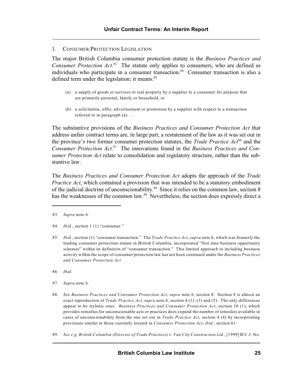## 1. CONSUMER PROTECTION LEGISLATION

The major British Columbia consumer protection statute is the *Business Practices and Consumer Protection Act*<sup>83</sup>. The statute only applies to consumers, who are defined as individuals who participate in a consumer transaction.<sup>84</sup> Consumer transaction is also a defined term under the legislation; it means:<sup>85</sup>

- (a) a supply of goods or services or real property by a supplier to a consumer for purpose that are primarily personal, family or household, or
- (b) a solicitation, offer, advertisement or promotion by a supplier with respect to a transaction referred to in paragraph (a). . . .

The substantive provisions of the *Business Practices and Consumer Protection Act* that address unfair contract terms are, in large part, a restatement of the law as it was set out in the province's two former consumer protection statutes, the *Trade Practice Act*<sup>86</sup> and the *Consumer Protection Act.*<sup>87</sup> The innovations found in the *Business Practices and Consumer Protection Act* relate to consolidation and regulatory structure, rather than the substantive law.

The *Business Practices and Consumer Protection Act* adopts the approach of the *Trade Practice Act*, which contained a provision that was intended to be a statutory embodiment of the judicial doctrine of unconscionability.<sup>88</sup> Since it relies on the common law, section 8 has the weaknesses of the common law.<sup>89</sup> Nevertheless, the section does expressly direct a

- 86. *Ibid.*
- 87. *Supra* note 6.
- 88. *See Business Practices and Consumer Protection Act*, *supra* note 6, section 8. Section 8 is almost an exact reproduction of *Trade Practice Act*, *supra* note 6, section 4 (1)–(3) and (5). The only differences appear to be stylistic ones. *Business Practices and Consumer Protection Act*, section 10 (1), which provides remedies for unconscionable acts or practices does expand the number of remedies available in cases of unconscionability from the one set out in *Trade Practice Act*, section 4 (4) by incorporating provisions similar to those currently located in *Consumer Protection Act*, *ibid.*, section 61.
- 89. *See e.g. British Columbia (Director of Trade Practices)* v. *Van City Construction Ltd.*, [1999] B.C.J. No.

<sup>83.</sup> *Supra* note 6.

<sup>84.</sup> *Ibid.*, section 1 (1) "consumer."

<sup>85.</sup> *Ibid.*, section (1) "consumer transaction." The *Trade Practice Act*, *supra* note 6, which was formerly the leading consumer protection statute in British Columbia, incorporated "first time business opportunity schemes" within its definition of "consumer transaction." This limited approach to including business activity within the scope of consumer protection law has not been continued under the *Business Practices and Consumer Protection Act*.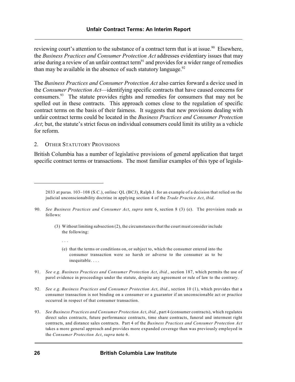reviewing court's attention to the substance of a contract term that is at issue.<sup>90</sup> Elsewhere, the *Business Practices and Consumer Protection Act* addresses evidentiary issues that may arise during a review of an unfair contract term<sup>91</sup> and provides for a wider range of remedies than may be available in the absence of such statutory language.<sup>92</sup>

The *Business Practices and Consumer Protection Act* also carries forward a device used in the *Consumer Protection Act*—identifying specific contracts that have caused concerns for consumers. $93$  The statute provides rights and remedies for consumers that may not be spelled out in these contracts. This approach comes close to the regulation of specific contract terms on the basis of their fairness. It suggests that new provisions dealing with unfair contract terms could be located in the *Business Practices and Consumer Protection Act*; but, the statute's strict focus on individual consumers could limit its utility as a vehicle for reform.

## 2. OTHER STATUTORY PROVISIONS

British Columbia has a number of legislative provisions of general application that target specific contract terms or transactions. The most familiar examples of this type of legisla-

- (3) Without limiting subsection (2), the circumstances that the court must consider include the following:
	- . . .
	- (e) that the terms or conditions on, or subject to, which the consumer entered into the consumer transaction were so harsh or adverse to the consumer as to be inequitable. . . .
- 91. *See e.g. Business Practices and Consumer Protection Act*, *ibid.*, section 187, which permits the use of parol evidence in proceedings under the statute, despite any agreement or rule of law to the contrary.
- 92. *See e.g. Business Practices and Consumer Protection Act*, *ibid.*, section 10 (1), which provides that a consumer transaction is not binding on a consumer or a guarantor if an unconscionable act or practice occurred in respect of that consumer transaction.
- 93. *See Business Practices and Consumer Protection Act*, *ibid.*, part 4 (consumer contracts), which regulates direct sales contracts, future performance contracts, time share contracts, funeral and interment right contracts, and distance sales contracts. Part 4 of the *Business Practices and Consumer Protection Act* takes a more general approach and provides more expanded coverage than was previously employed in the *Consumer Protection Act*, *supra* note 6.

<sup>2033</sup> at paras. 103–108 (S.C.), online: QL (BCJ), Ralph J. for an example of a decision that relied on the judicial unconscionability doctrine in applying section 4 of the *Trade Practice Act*, *ibid.*

<sup>90.</sup> *See Business Practices and Consumer Act*, *supra* note 6, section 8 (3) (e). The provision reads as follows: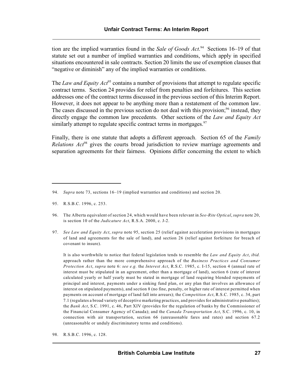tion are the implied warranties found in the *Sale of Goods Act*.<sup>94</sup> Sections 16–19 of that statute set out a number of implied warranties and conditions, which apply in specified situations encountered in sale contracts. Section 20 limits the use of exemption clauses that "negative or diminish" any of the implied warranties or conditions.

The *Law and Equity Act*<sup>95</sup> contains a number of provisions that attempt to regulate specific contract terms. Section 24 provides for relief from penalties and forfeitures. This section addresses one of the contract terms discussed in the previous section of this Interim Report. However, it does not appear to be anything more than a restatement of the common law. The cases discussed in the previous section do not deal with this provision;  $96$  instead, they directly engage the common law precedents. Other sections of the *Law and Equity Act* similarly attempt to regulate specific contract terms in mortgages.<sup>97</sup>

Finally, there is one statute that adopts a different approach. Section 65 of the *Family Relations Act*<sup>98</sup> gives the courts broad jurisdiction to review marriage agreements and separation agreements for their fairness. Opinions differ concerning the extent to which

- 95. R.S.B.C. 1996, c. 253.
- 96. The Alberta equivalent of section 24, which would have been relevant in *See-Rite Optical*, *supra* note 20, is section 10 of the *Judicature Act*, R.S.A. 2000, c. J-2.
- 97. *See Law and Equity Act*, *supra* note 95, section 25 (relief against acceleration provisions in mortgages of land and agreements for the sale of land), and section 26 (relief against forfeiture for breach of covenant to insure).

It is also worthwhile to notice that federal legislation tends to resemble the *Law and Equity Act*, *ibid.* approach rather than the more comprehensive approach of the *Business Practices and Consumer Protection Act*, *supra* note 6: *see e.g.* the *Interest Act*, R.S.C. 1985, c. I-15, section 4 (annual rate of interest must be stipulated in an agreement, other than a mortgage of land), section 6 (rate of interest calculated yearly or half yearly must be stated in mortgage of land requiring blended repayments of principal and interest, payments under a sinking fund plan, or any plan that involves an allowance of interest on stipulated payments), and section 8 (no fine, penalty, or higher rate of interest permitted when payments on account of mortgage of land fall into arrears); the *Competition Act*, R.S.C. 1985, c. 34, part 7.1 (regulates a broad variety of deceptive marketing practices, and provides for administrative penalties); the *Bank Act*, S.C. 1991, c. 46, Part XIV (provides for the regulation of banks by the Commissioner of the Financial Consumer Agency of Canada); and the *Canada Transportation Act*, S.C. 1996, c. 10, in connection with air transportation, section 66 (unreasonable fares and rates) and section 67.2 (unreasonable or unduly discriminatory terms and conditions).

98. R.S.B.C. 1996, c. 128.

<sup>94.</sup> *Supra* note 73, sections 16–19 (implied warranties and conditions) and section 20.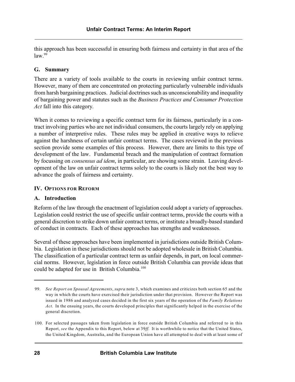this approach has been successful in ensuring both fairness and certainty in that area of the  $law.<sup>99</sup>$ 

## **G. Summary**

There are a variety of tools available to the courts in reviewing unfair contract terms. However, many of them are concentrated on protecting particularly vulnerable individuals from harsh bargaining practices. Judicial doctrines such as unconscionability and inequality of bargaining power and statutes such as the *Business Practices and Consumer Protection Act* fall into this category.

When it comes to reviewing a specific contract term for its fairness, particularly in a contract involving parties who are not individual consumers, the courts largely rely on applying a number of interpretive rules. These rules may be applied in creative ways to relieve against the harshness of certain unfair contract terms. The cases reviewed in the previous section provide some examples of this process. However, there are limits to this type of development of the law. Fundamental breach and the manipulation of contract formation by focussing on *consensus ad idem*, in particular, are showing some strain. Leaving development of the law on unfair contract terms solely to the courts is likely not the best way to advance the goals of fairness and certainty.

## **IV. OPTIONS FOR REFORM**

## **A. Introduction**

Reform of the law through the enactment of legislation could adopt a variety of approaches. Legislation could restrict the use of specific unfair contract terms, provide the courts with a general discretion to strike down unfair contract terms, or institute a broadly-based standard of conduct in contracts. Each of these approaches has strengths and weaknesses.

Several of these approaches have been implemented in jurisdictions outside British Columbia. Legislation in these jurisdictions should not be adopted wholesale in British Columbia. The classification of a particular contract term as unfair depends, in part, on local commercial norms. However, legislation in force outside British Columbia can provide ideas that could be adapted for use in British Columbia.<sup>100</sup>

<sup>99.</sup> *See Report on Spousal Agreements*, *supra* note 3, which examines and criticizes both section 65 and the way in which the courts have exercised their jurisdiction under that provision. However the Report was issued in 1986 and analyzed cases decided in the first six years of the operation of the *Family Relations Act*. In the ensuing years, the courts developed principles that significantly helped in the exercise of the general discretion.

<sup>100.</sup> For selected passages taken from legislation in force outside British Columbia and referred to in this Report, *see* the Appendix to this Report, below at 39*ff*. It is worthwhile to notice that the United States, the United Kingdom, Australia, and the European Union have all attempted to deal with at least some of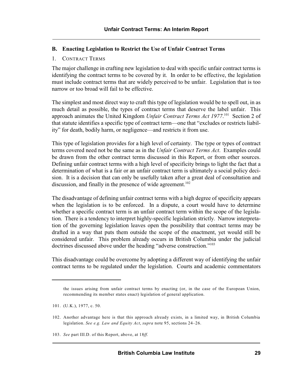## **B. Enacting Legislation to Restrict the Use of Unfair Contract Terms**

## 1. CONTRACT TERMS

The major challenge in crafting new legislation to deal with specific unfair contract terms is identifying the contract terms to be covered by it. In order to be effective, the legislation must include contract terms that are widely perceived to be unfair. Legislation that is too narrow or too broad will fail to be effective.

The simplest and most direct way to craft this type of legislation would be to spell out, in as much detail as possible, the types of contract terms that deserve the label unfair. This approach animates the United Kingdom *Unfair Contract Terms Act 1977*.<sup>101</sup> Section 2 of that statute identifies a specific type of contract term—one that "excludes or restricts liability" for death, bodily harm, or negligence—and restricts it from use.

This type of legislation provides for a high level of certainty. The type or types of contract terms covered need not be the same as in the *Unfair Contract Terms Act*. Examples could be drawn from the other contract terms discussed in this Report, or from other sources. Defining unfair contract terms with a high level of specificity brings to light the fact that a determination of what is a fair or an unfair contract term is ultimately a social policy decision. It is a decision that can only be usefully taken after a great deal of consultation and discussion, and finally in the presence of wide agreement.<sup>102</sup>

The disadvantage of defining unfair contract terms with a high degree of specificity appears when the legislation is to be enforced. In a dispute, a court would have to determine whether a specific contract term is an unfair contract term within the scope of the legislation. There is a tendency to interpret highly-specific legislation strictly. Narrow interpretation of the governing legislation leaves open the possibility that contract terms may be drafted in a way that puts them outside the scope of the enactment, yet would still be considered unfair. This problem already occurs in British Columbia under the judicial doctrines discussed above under the heading "adverse construction."<sup>103</sup>

This disadvantage could be overcome by adopting a different way of identifying the unfair contract terms to be regulated under the legislation. Courts and academic commentators

the issues arising from unfair contract terms by enacting (or, in the case of the European Union, recommending its member states enact) legislation of general application.

<sup>101.</sup> (U.K.), 1977, c. 50.

<sup>102.</sup> Another advantage here is that this approach already exists, in a limited way, in British Columbia legislation. *See e.g. Law and Equity Act*, *supra* note 95, sections 24–26.

<sup>103.</sup> *See* part III.D. of this Report, above, at 18*ff*.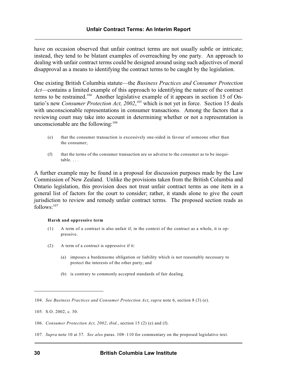have on occasion observed that unfair contract terms are not usually subtle or intricate; instead, they tend to be blatant examples of overreaching by one party. An approach to dealing with unfair contract terms could be designed around using such adjectives of moral disapproval as a means to identifying the contract terms to be caught by the legislation.

One existing British Columbia statute—the *Business Practices and Consumer Protection Act*—contains a limited example of this approach to identifying the nature of the contract terms to be restrained.<sup>104</sup> Another legislative example of it appears in section 15 of Ontario's new *Consumer Protection Act, 2002*,<sup>105</sup> which is not yet in force. Section 15 deals with unconscionable representations in consumer transactions. Among the factors that a reviewing court may take into account in determining whether or not a representation is unconscionable are the following: $106$ 

- (e) that the consumer transaction is excessively one-sided in favour of someone other than the consumer;
- (f) that the terms of the consumer transaction are so adverse to the consumer as to be inequitable. . . .

A further example may be found in a proposal for discussion purposes made by the Law Commission of New Zealand. Unlike the provisions taken from the British Columbia and Ontario legislation, this provision does not treat unfair contract terms as one item in a general list of factors for the court to consider; rather, it stands alone to give the court jurisdiction to review and remedy unfair contract terms. The proposed section reads as follows: 107

#### **Harsh and oppressive term**

- (1) A term of a contract is also unfair if, in the context of the contract as a whole, it is oppressive.
- (2) A term of a contract is oppressive if it:
	- (a) imposes a burdensome obligation or liability which is not reasonably necessary to protect the interests of the other party; and
	- (b) is contrary to commonly accepted standards of fair dealing.

107. *Supra* note 10 at 37. *See also* paras. 108–110 for commentary on the proposed legislative text.

<sup>104.</sup> *See Business Practices and Consumer Protection Act*, *supra* note 6, section 8 (3) (e).

<sup>105.</sup> S.O. 2002, c. 30.

<sup>106.</sup> *Consumer Protection Act, 2002*, *ibid.*, section 15 (2) (e) and (f).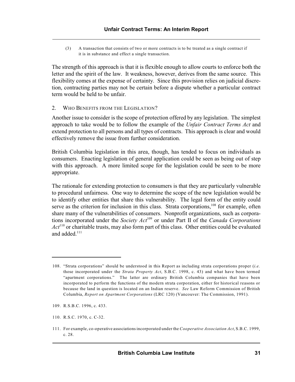(3) A transaction that consists of two or more contracts is to be treated as a single contract if it is in substance and effect a single transaction.

The strength of this approach is that it is flexible enough to allow courts to enforce both the letter and the spirit of the law. It weakness, however, derives from the same source. This flexibility comes at the expense of certainty. Since this provision relies on judicial discretion, contracting parties may not be certain before a dispute whether a particular contract term would be held to be unfair.

## 2. WHO BENEFITS FROM THE LEGISLATION?

Another issue to consider is the scope of protection offered by any legislation. The simplest approach to take would be to follow the example of the *Unfair Contract Terms Act* and extend protection to all persons and all types of contracts. This approach is clear and would effectively remove the issue from further consideration.

British Columbia legislation in this area, though, has tended to focus on individuals as consumers. Enacting legislation of general application could be seen as being out of step with this approach. A more limited scope for the legislation could be seen to be more appropriate.

The rationale for extending protection to consumers is that they are particularly vulnerable to procedural unfairness. One way to determine the scope of the new legislation would be to identify other entities that share this vulnerability. The legal form of the entity could serve as the criterion for inclusion in this class. Strata corporations,<sup>108</sup> for example, often share many of the vulnerabilities of consumers. Nonprofit organizations, such as corporations incorporated under the *Society Act*<sup>109</sup> or under Part II of the *Canada Corporations*  $Act^{110}$  or charitable trusts, may also form part of this class. Other entities could be evaluated and added.<sup>111</sup>

- 109. R.S.B.C. 1996, c. 433.
- 110. R.S.C. 1970, c. C-32.

<sup>108.</sup> "Strata corporations" should be understood in this Report as including strata corporations proper (*i.e.* those incorporated under the *Strata Property Act*, S.B.C. 1998, c. 43) and what have been termed "apartment corporations." The latter are ordinary British Columbia companies that have been incorporated to perform the functions of the modern strata corporation, either for historical reasons or because the land in question is located on an Indian reserve. *See* Law Reform Commission of British Columbia, *Report on Apartment Corporations* (LRC 120) (Vancouver: The Commission, 1991).

<sup>111.</sup> For example, co-operative associations incorporated under the *Cooperative Association Act*, S.B.C. 1999, c. 28.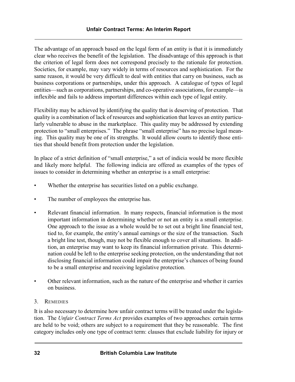The advantage of an approach based on the legal form of an entity is that it is immediately clear who receives the benefit of the legislation. The disadvantage of this approach is that the criterion of legal form does not correspond precisely to the rationale for protection. Societies, for example, may vary widely in terms of resources and sophistication. For the same reason, it would be very difficult to deal with entities that carry on business, such as business corporations or partnerships, under this approach. A catalogue of types of legal entities—such as corporations, partnerships, and co-operative associations, for example—is inflexible and fails to address important differences within each type of legal entity.

Flexibility may be achieved by identifying the quality that is deserving of protection. That quality is a combination of lack of resources and sophistication that leaves an entity particularly vulnerable to abuse in the marketplace. This quality may be addressed by extending protection to "small enterprises." The phrase "small enterprise" has no precise legal meaning. This quality may be one of its strengths. It would allow courts to identify those entities that should benefit from protection under the legislation.

In place of a strict definition of "small enterprise," a set of indicia would be more flexible and likely more helpful. The following indicia are offered as examples of the types of issues to consider in determining whether an enterprise is a small enterprise:

- Whether the enterprise has securities listed on a public exchange.
- The number of employees the enterprise has.
- Relevant financial information. In many respects, financial information is the most important information in determining whether or not an entity is a small enterprise. One approach to the issue as a whole would be to set out a bright line financial test, tied to, for example, the entity's annual earnings or the size of the transaction. Such a bright line test, though, may not be flexible enough to cover all situations. In addition, an enterprise may want to keep its financial information private. This determination could be left to the enterprise seeking protection, on the understanding that not disclosing financial information could impair the enterprise's chances of being found to be a small enterprise and receiving legislative protection.
- Other relevant information, such as the nature of the enterprise and whether it carries on business.
- 3. REMEDIES

It is also necessary to determine how unfair contract terms will be treated under the legislation. The *Unfair Contract Terms Act* provides examples of two approaches: certain terms are held to be void; others are subject to a requirement that they be reasonable. The first category includes only one type of contract term: clauses that exclude liability for injury or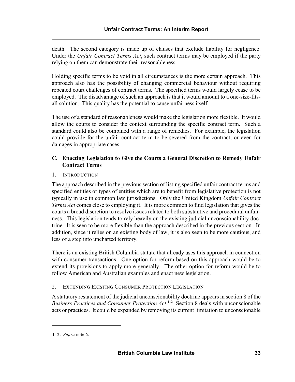death. The second category is made up of clauses that exclude liability for negligence. Under the *Unfair Contract Terms Act*, such contract terms may be employed if the party relying on them can demonstrate their reasonableness.

Holding specific terms to be void in all circumstances is the more certain approach. This approach also has the possibility of changing commercial behaviour without requiring repeated court challenges of contract terms. The specified terms would largely cease to be employed. The disadvantage of such an approach is that it would amount to a one-size-fitsall solution. This quality has the potential to cause unfairness itself.

The use of a standard of reasonableness would make the legislation more flexible. It would allow the courts to consider the context surrounding the specific contract term. Such a standard could also be combined with a range of remedies. For example, the legislation could provide for the unfair contract term to be severed from the contract, or even for damages in appropriate cases.

## **C. Enacting Legislation to Give the Courts a General Discretion to Remedy Unfair Contract Terms**

## 1. INTRODUCTION

The approach described in the previous section of listing specified unfair contract terms and specified entities or types of entities which are to benefit from legislative protection is not typically in use in common law jurisdictions. Only the United Kingdom *Unfair Contract Terms Act* comes close to employing it. It is more common to find legislation that gives the courts a broad discretion to resolve issues related to both substantive and procedural unfairness. This legislation tends to rely heavily on the existing judicial unconscionability doctrine. It is seen to be more flexible than the approach described in the previous section. In addition, since it relies on an existing body of law, it is also seen to be more cautious, and less of a step into uncharted territory.

There is an existing British Columbia statute that already uses this approach in connection with consumer transactions. One option for reform based on this approach would be to extend its provisions to apply more generally. The other option for reform would be to follow American and Australian examples and enact new legislation.

## 2. EXTENDING EXISTING CONSUMER PROTECTION LEGISLATION

A statutory restatement of the judicial unconscionability doctrine appears in section 8 of the *Business Practices and Consumer Protection Act.*<sup>112</sup> Section 8 deals with unconscionable acts or practices. It could be expanded by removing its current limitation to unconscionable

<sup>112.</sup> *Supra* note 6.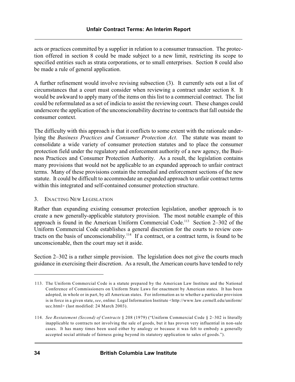acts or practices committed by a supplier in relation to a consumer transaction. The protection offered in section 8 could be made subject to a new limit, restricting its scope to specified entities such as strata corporations, or to small enterprises. Section 8 could also be made a rule of general application.

A further refinement would involve revising subsection (3). It currently sets out a list of circumstances that a court must consider when reviewing a contract under section 8. It would be awkward to apply many of the items on this list to a commercial contract. The list could be reformulated as a set of indicia to assist the reviewing court. These changes could underscore the application of the unconscionability doctrine to contracts that fall outside the consumer context.

The difficulty with this approach is that it conflicts to some extent with the rationale underlying the *Business Practices and Consumer Protection Act*. The statute was meant to consolidate a wide variety of consumer protection statutes and to place the consumer protection field under the regulatory and enforcement authority of a new agency, the Business Practices and Consumer Protection Authority. As a result, the legislation contains many provisions that would not be applicable to an expanded approach to unfair contract terms. Many of these provisions contain the remedial and enforcement sections of the new statute. It could be difficult to accommodate an expanded approach to unfair contract terms within this integrated and self-contained consumer protection structure.

## 3. ENACTING NEW LEGISLATION

Rather than expanding existing consumer protection legislation, another approach is to create a new generally-applicable statutory provision. The most notable example of this approach is found in the American Uniform Commercial Code.<sup>113</sup> Section  $2-302$  of the Uniform Commercial Code establishes a general discretion for the courts to review contracts on the basis of unconscionability.<sup> $114$ </sup> If a contract, or a contract term, is found to be unconscionable, then the court may set it aside.

Section 2–302 is a rather simple provision. The legislation does not give the courts much guidance in exercising their discretion. As a result, the American courts have tended to rely

<sup>113.</sup> The Uniform Commercial Code is a statute prepared by the American Law Institute and the National Conference of Commissioners on Uniform State Laws for enactment by American states. It has been adopted, in whole or in part, by all American states. For information as to whether a particular provision is in force in a given state, see, online: Legal Information Institute <http://www.law.cornell.edu/uniform/ ucc.html> (last modified: 24 March 2003).

<sup>114.</sup> *See Restatement (Second) of Contracts* § 208 (1979) ("Uniform Commercial Code § 2–302 is literally inapplicable to contracts not involving the sale of goods, but it has proven very influential in non-sale cases. It has many times been used either by analogy or because it was felt to embody a generally accepted social attitude of fairness going beyond its statutory application to sales of goods.").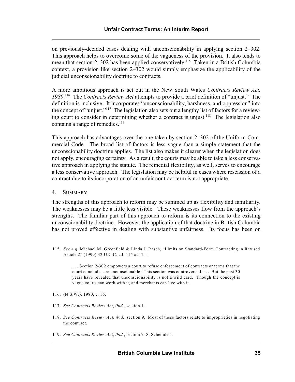on previously-decided cases dealing with unconscionability in applying section 2–302. This approach helps to overcome some of the vagueness of the provision. It also tends to mean that section 2–302 has been applied conservatively.<sup>115</sup> Taken in a British Columbia context, a provision like section 2–302 would simply emphasize the applicability of the judicial unconscionability doctrine to contracts.

A more ambitious approach is set out in the New South Wales *Contracts Review Act,* 1980<sup>116</sup> The *Contracts Review Act* attempts to provide a brief definition of "unjust." The definition is inclusive. It incorporates "unconscionability, harshness, and oppression" into the concept of "unjust."<sup> $117$ </sup> The legislation also sets out a lengthy list of factors for a reviewing court to consider in determining whether a contract is unjust.<sup>118</sup> The legislation also contains a range of remedies. $119$ 

This approach has advantages over the one taken by section 2–302 of the Uniform Commercial Code. The broad list of factors is less vague than a simple statement that the unconscionability doctrine applies. The list also makes it clearer when the legislation does not apply, encouraging certainty. As a result, the courts may be able to take a less conservative approach in applying the statute. The remedial flexibility, as well, serves to encourage a less conservative approach. The legislation may be helpful in cases where rescission of a contract due to its incorporation of an unfair contract term is not appropriate.

4. SUMMARY

The strengths of this approach to reform may be summed up as flexibility and familiarity. The weaknesses may be a little less visible. These weaknesses flow from the approach's strengths. The familiar part of this approach to reform is its connection to the existing unconscionability doctrine. However, the application of that doctrine in British Columbia has not proved effective in dealing with substantive unfairness. Its focus has been on

- 116. (N.S.W.), 1980, c. 16.
- 117. *See Contracts Review Act*, *ibid.*, section 1.
- 118. *See Contracts Review Act*, *ibid.*, section 9. Most of these factors relate to improprieties in negotiating the contract.
- 119. *See Contracts Review Act*, *ibid.*, section 7–8, Schedule 1.

<sup>115.</sup> *See e.g.* Michael M. Greenfield & Linda J. Rasch, "Limits on Standard-Form Contracting in Revised Article 2" (1999) 32 U.C.C.L.J. 115 at 121:

<sup>. . .</sup> Section 2-302 empowers a court to refuse enforcement of contracts or terms that the court concludes are unconscionable. This section was controversial. . . . But the past 30 years have revealed that unconscionability is not a wild card. Though the concept is vague courts can work with it, and merchants can live with it.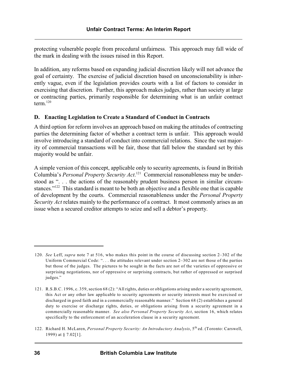protecting vulnerable people from procedural unfairness. This approach may fall wide of the mark in dealing with the issues raised in this Report.

In addition, any reforms based on expanding judicial discretion likely will not advance the goal of certainty. The exercise of judicial discretion based on unconscionability is inherently vague, even if the legislation provides courts with a list of factors to consider in exercising that discretion. Further, this approach makes judges, rather than society at large or contracting parties, primarily responsible for determining what is an unfair contract term. 120

## **D. Enacting Legislation to Create a Standard of Conduct in Contracts**

A third option for reform involves an approach based on making the attitudes of contracting parties the determining factor of whether a contract term is unfair. This approach would involve introducing a standard of conduct into commercial relations. Since the vast majority of commercial transactions will be fair, those that fall below the standard set by this majority would be unfair.

A simple version of this concept, applicable only to security agreements, is found in British Columbia's Personal Property Security Act.<sup>121</sup> Commercial reasonableness may be understood as ". . . the actions of the reasonably prudent business person in similar circumstances."<sup>122</sup> This standard is meant to be both an objective and a flexible one that is capable of development by the courts. Commercial reasonableness under the *Personal Property Security Act* relates mainly to the performance of a contract. It most commonly arises as an issue when a secured creditor attempts to seize and sell a debtor's property.

<sup>120.</sup> *See* Leff, *supra* note 7 at 516, who makes this point in the course of discussing section 2–302 of the Uniform Commercial Code: "... the attitudes relevant under section 2-302 are not those of the parties but those of the judges. The pictures to be sought in the facts are not of the varieties of oppressive or surprising negotiations, nor of oppressive or surprising contracts, but rather of oppressed or surprised judges."

<sup>121.</sup> R.S.B.C. 1996, c. 359, section 68 (2): "All rights, duties or obligations arising under a security agreement, this Act or any other law applicable to security agreements or security interests must be exercised or discharged in good faith and in a commercially reasonable manner." Section 68 (2) establishes a general duty to exercise or discharge rights, duties, or obligations arising from a security agreement in a commercially reasonable manner. *See also Personal Property Security Act*, section 16, which relates specifically to the enforcement of an acceleration clause in a security agreement.

<sup>122.</sup> Richard H. McLaren, *Personal Property Security: An Introductory Analysis*, 5<sup>th</sup> ed. (Toronto: Carswell, 1999) at § 7.02[1].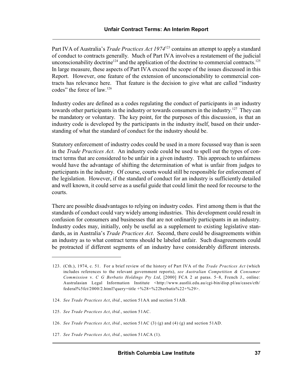Part IVA of Australia's *Trade Practices Act 1974*<sup>123</sup> contains an attempt to apply a standard of conduct to contracts generally. Much of Part IVA involves a restatement of the judicial unconscionability doctrine<sup>124</sup> and the application of the doctrine to commercial contracts.<sup>125</sup> In large measure, these aspects of Part IVA exceed the scope of the issues discussed in this Report. However, one feature of the extension of unconscionability to commercial contracts has relevance here. That feature is the decision to give what are called "industry codes" the force of law.<sup>126</sup>

Industry codes are defined as a codes regulating the conduct of participants in an industry towards other participants in the industry or towards consumers in the industry.<sup>127</sup> They can be mandatory or voluntary. The key point, for the purposes of this discussion, is that an industry code is developed by the participants in the industry itself, based on their understanding of what the standard of conduct for the industry should be.

Statutory enforcement of industry codes could be used in a more focussed way than is seen in the *Trade Practices Act*. An industry code could be used to spell out the types of contract terms that are considered to be unfair in a given industry. This approach to unfairness would have the advantage of shifting the determination of what is unfair from judges to participants in the industry. Of course, courts would still be responsible for enforcement of the legislation. However, if the standard of conduct for an industry is sufficiently detailed and well known, it could serve as a useful guide that could limit the need for recourse to the courts.

There are possible disadvantages to relying on industry codes. First among them is that the standards of conduct could vary widely among industries. This development could result in confusion for consumers and businesses that are not ordinarily participants in an industry. Industry codes may, initially, only be useful as a supplement to existing legislative standards, as in Australia's *Trade Practices Act*. Second, there could be disagreements within an industry as to what contract terms should be labeled unfair. Such disagreements could be protracted if different segments of an industry have considerably different interests.

126. *See Trade Practices Act*, *ibid.*, section 51AC (3) (g) and (4) (g) and section 51AD.

<sup>123.</sup> (Cth.), 1974, c. 51. For a brief review of the history of Part IVA of the *Trade Practices Act* (which includes references to the relevant government reports), *see Australian Competition & Consumer Commission* v. *C G Berbatis Holdings Pty Ltd*, [2000] FCA 2 at paras. 5–8, French J., online: Australasian Legal Information Institute <http://www.austlii.edu.au/cgi-bin/disp.pl/au/cases/cth/ federal%5fct/2000/2.html?query=title +%28+%22berbatis%22+%29>.

<sup>124.</sup> *See Trade Practices Act*, *ibid.*, section 51AA and section 51AB.

<sup>125.</sup> *See Trade Practices Act*, *ibid.*, section 51AC.

<sup>127.</sup> *See Trade Practices Act*, *ibid.*, section 51ACA (1).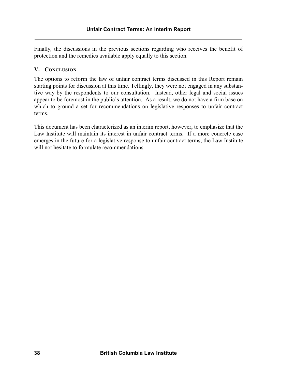Finally, the discussions in the previous sections regarding who receives the benefit of protection and the remedies available apply equally to this section.

## **V. CONCLUSION**

The options to reform the law of unfair contract terms discussed in this Report remain starting points for discussion at this time. Tellingly, they were not engaged in any substantive way by the respondents to our consultation. Instead, other legal and social issues appear to be foremost in the public's attention. As a result, we do not have a firm base on which to ground a set for recommendations on legislative responses to unfair contract terms.

This document has been characterized as an interim report, however, to emphasize that the Law Institute will maintain its interest in unfair contract terms. If a more concrete case emerges in the future for a legislative response to unfair contract terms, the Law Institute will not hesitate to formulate recommendations.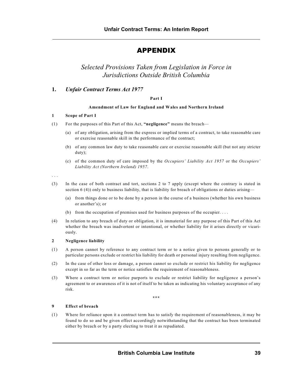## APPENDIX

## *Selected Provisions Taken from Legislation in Force in Jurisdictions Outside British Columbia*

#### **1.** *Unfair Contract Terms Act 1977*

#### **Part I**

#### **Amendment of Law for England and Wales and Northern Ireland**

#### **1 Scope of Part I**

- (1) For the purposes of this Part of this Act, **"negligence"** means the breach—
	- (a) of any obligation, arising from the express or implied terms of a contract, to take reasonable care or exercise reasonable skill in the performance of the contract;
	- (b) of any common law duty to take reasonable care or exercise reasonable skill (but not any stricter duty);
	- (c) of the common duty of care imposed by the *Occupiers' Liability Act 1957* or the *Occupiers' Liability Act (Northern Ireland) 1957*.

. . .

- (3) In the case of both contract and tort, sections 2 to 7 apply (except where the contrary is stated in section  $6(4)$ ) only to business liability, that is liability for breach of obligations or duties arising—
	- (a) from things done or to be done by a person in the course of a business (whether his own business or another's); or
	- (b) from the occupation of premises used for business purposes of the occupier. . . .
- (4) In relation to any breach of duty or obligation, it is immaterial for any purpose of this Part of this Act whether the breach was inadvertent or intentional, or whether liability for it arises directly or vicariously.

#### **2 Negligence liability**

- (1) A person cannot by reference to any contract term or to a notice given to persons generally or to particular persons exclude or restrict his liability for death or personal injury resulting from negligence.
- (2) In the case of other loss or damage, a person cannot so exclude or restrict his liability for negligence except in so far as the term or notice satisfies the requirement of reasonableness.
- (3) Where a contract term or notice purports to exclude or restrict liability for negligence a person's agreement to or awareness of it is not of itself to be taken as indicating his voluntary acceptance of any risk.

**\*\*\***

#### **9 Effect of breach**

(1) Where for reliance upon it a contract term has to satisfy the requirement of reasonableness, it may be found to do so and be given effect accordingly notwithstanding that the contract has been terminated either by breach or by a party electing to treat it as repudiated.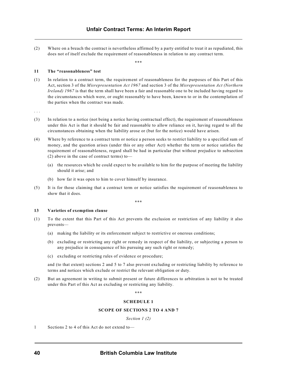(2) Where on a breach the contract is nevertheless affirmed by a party entitled to treat it as repudiated, this does not of itself exclude the requirement of reasonableness in relation to any contract term.

**\*\*\***

#### **11 The "reasonableness" test**

(1) In relation to a contract term, the requirement of reasonableness for the purposes of this Part of this Act, section 3 of the *Misrepresentation Act 1967* and section 3 of the *Misrepresentation Act (Northern Ireland) 1967* is that the term shall have been a fair and reasonable one to be included having regard to the circumstances which were, or ought reasonably to have been, known to or in the contemplation of the parties when the contract was made.

. . .

- (3) In relation to a notice (not being a notice having contractual effect), the requirement of reasonableness under this Act is that it should be fair and reasonable to allow reliance on it, having regard to all the circumstances obtaining when the liability arose or (but for the notice) would have arisen.
- (4) Where by reference to a contract term or notice a person seeks to restrict liability to a specified sum of money, and the question arises (under this or any other Act) whether the term or notice satisfies the requirement of reasonableness, regard shall be had in particular (but without prejudice to subsection (2) above in the case of contract terms) to—
	- (a) the resources which he could expect to be available to him for the purpose of meeting the liability should it arise; and
	- (b) how far it was open to him to cover himself by insurance.
- (5) It is for those claiming that a contract term or notice satisfies the requirement of reasonableness to show that it does.

**\*\*\***

#### **13 Varieties of exemption clause**

- (1) To the extent that this Part of this Act prevents the exclusion or restriction of any liability it also prevents—
	- (a) making the liability or its enforcement subject to restrictive or onerous conditions;
	- (b) excluding or restricting any right or remedy in respect of the liability, or subjecting a person to any prejudice in consequence of his pursuing any such right or remedy;
	- (c) excluding or restricting rules of evidence or procedure;

and (to that extent) sections 2 and 5 to 7 also prevent excluding or restricting liability by reference to terms and notices which exclude or restrict the relevant obligation or duty.

(2) But an agreement in writing to submit present or future differences to arbitration is not to be treated under this Part of this Act as excluding or restricting any liability.

**\*\*\***

#### **SCHEDULE 1**

#### **SCOPE OF SECTIONS 2 TO 4 AND 7**

*Section 1 (2)*

1 Sections 2 to 4 of this Act do not extend to—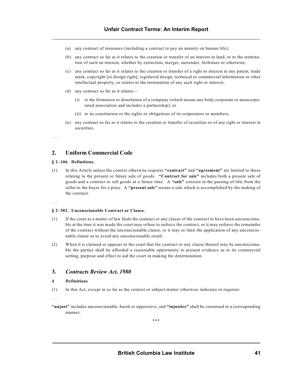- (a) any contract of insurance (including a contract to pay an annuity on human life);
- (b) any contract so far as it relates to the creation or transfer of an interest in land, or to the termination of such an interest, whether by extinction, merger, surrender, forfeiture or otherwise;
- (c) any contract so far as it relates to the creation or transfer of a right or interest in any patent, trade mark, copyright [or design right], registered design, technical or commercial information or other intellectual property, or relates to the termination of any such right or interest;
- (d) any contract so far as it relates—
	- (i) to the formation or dissolution of a company (which means any body corporate or unincorporated association and includes a partnership), or
	- (ii) to its constitution or the rights or obligations of its corporators or members;
- (e) any contract so far as it relates to the creation or transfer of securities or of any right or interest in securities.

```
. . .
```
## **2. Uniform Commercial Code**

#### **§ 2–106. Definitions.**

(1) In this Article unless the context otherwise requires **"contract"** and **"agreement"** are limited to those relating to the present or future sale of goods. **"Contract for sale"** includes both a present sale of goods and a contract to sell goods at a future time. A **"sale"** consists in the passing of title from the seller to the buyer for a price. A **"present sale"** means a sale which is accomplished by the making of the contract.

. . .

#### **§ 2–302. Unconscionable Contract or Clause.**

- (1) If the court as a matter of law finds the contract or any clause of the contract to have been unconscionable at the time it was made the court may refuse to enforce the contract, or it may enforce the remainder of the contract without the unconscionable clause, or it may so limit the application of any unconscionable clause as to avoid any unconscionable result.
- (2) When it is claimed or appears to the court that the contract or any clause thereof may be unconscionable the parties shall be afforded a reasonable opportunity to present evidence as to its commercial setting, purpose and effect to aid the court in making the determination.

#### **3.** *Contracts Review Act, 1980*

#### **4 Definitions**

(1) In this Act, except in so far as the context or subject-matter otherwise indicates or requires:

. . .

**"unjust"** includes unconscionable, harsh or oppressive, and **"injustice"** shall be construed in a corresponding manner.

**\*\*\***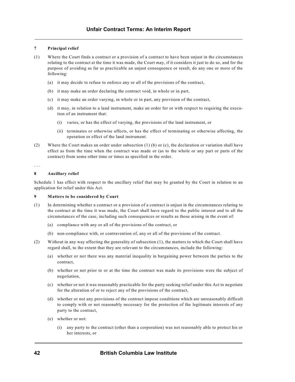#### **7 Principal relief**

- (1) Where the Court finds a contract or a provision of a contract to have been unjust in the circumstances relating to the contract at the time it was made, the Court may, if it considers it just to do so, and for the purpose of avoiding as far as practicable an unjust consequence or result, do any one or more of the following:
	- (a) it may decide to refuse to enforce any or all of the provisions of the contract,
	- (b) it may make an order declaring the contract void, in whole or in part,
	- (c) it may make an order varying, in whole or in part, any provision of the contract,
	- (d) it may, in relation to a land instrument, make an order for or with respect to requiring the execution of an instrument that:
		- (i) varies, or has the effect of varying, the provisions of the land instrument, or
		- (ii) terminates or otherwise affects, or has the effect of terminating or otherwise affecting, the operation or effect of the land instrument.
- (2) Where the Court makes an order under subsection (1) (b) or (c), the declaration or variation shall have effect as from the time when the contract was made or (as to the whole or any part or parts of the contract) from some other time or times as specified in the order.

#### . . .

#### **8 Ancillary relief**

Schedule 1 has effect with respect to the ancillary relief that may be granted by the Court in relation to an application for relief under this Act.

#### **9 Matters to be considered by Court**

- (1) In determining whether a contract or a provision of a contract is unjust in the circumstances relating to the contract at the time it was made, the Court shall have regard to the public interest and to all the circumstances of the case, including such consequences or results as those arising in the event of:
	- (a) compliance with any or all of the provisions of the contract, or
	- (b) non-compliance with, or contravention of, any or all of the provisions of the contract.
- (2) Without in any way affecting the generality of subsection (1), the matters to which the Court shall have regard shall, to the extent that they are relevant to the circumstances, include the following:
	- (a) whether or not there was any material inequality in bargaining power between the parties to the contract,
	- (b) whether or not prior to or at the time the contract was made its provisions were the subject of negotiation,
	- (c) whether or not it was reasonably practicable for the party seeking relief under this Act to negotiate for the alteration of or to reject any of the provisions of the contract,
	- (d) whether or not any provisions of the contract impose conditions which are unreasonably difficult to comply with or not reasonably necessary for the protection of the legitimate interests of any party to the contract,
	- (e) whether or not:
		- (i) any party to the contract (other than a corporation) was not reasonably able to protect his or her interests, or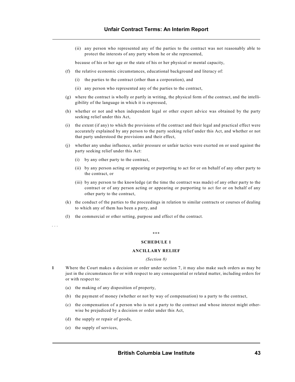(ii) any person who represented any of the parties to the contract was not reasonably able to protect the interests of any party whom he or she represented,

because of his or her age or the state of his or her physical or mental capacity,

- (f) the relative economic circumstances, educational background and literacy of:
	- (i) the parties to the contract (other than a corporation), and
	- (ii) any person who represented any of the parties to the contract,
- (g) where the contract is wholly or partly in writing, the physical form of the contract, and the intelligibility of the language in which it is expressed,
- (h) whether or not and when independent legal or other expert advice was obtained by the party seeking relief under this Act,
- (i) the extent (if any) to which the provisions of the contract and their legal and practical effect were accurately explained by any person to the party seeking relief under this Act, and whether or not that party understood the provisions and their effect,
- (j) whether any undue influence, unfair pressure or unfair tactics were exerted on or used against the party seeking relief under this Act:
	- (i) by any other party to the contract,
	- (ii) by any person acting or appearing or purporting to act for or on behalf of any other party to the contract, or
	- (iii) by any person to the knowledge (at the time the contract was made) of any other party to the contract or of any person acting or appearing or purporting to act for or on behalf of any other party to the contract,
- (k) the conduct of the parties to the proceedings in relation to similar contracts or courses of dealing to which any of them has been a party, and
- (l) the commercial or other setting, purpose and effect of the contract.

. . .

#### **\*\*\***

#### **SCHEDULE 1**

#### **ANCILLARY RELIEF**

#### *(Section 8)*

- **1** Where the Court makes a decision or order under section 7, it may also make such orders as may be just in the circumstances for or with respect to any consequential or related matter, including orders for or with respect to:
	- (a) the making of any disposition of property,
	- (b) the payment of money (whether or not by way of compensation) to a party to the contract,
	- (c) the compensation of a person who is not a party to the contract and whose interest might otherwise be prejudiced by a decision or order under this Act,
	- (d) the supply or repair of goods,
	- (e) the supply of services,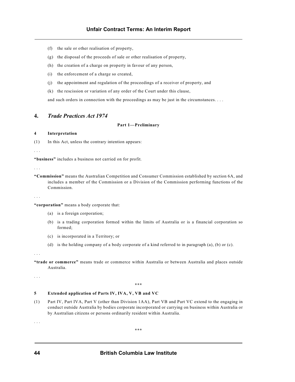- (f) the sale or other realisation of property,
- (g) the disposal of the proceeds of sale or other realisation of property,
- (h) the creation of a charge on property in favour of any person,
- (i) the enforcement of a charge so created,
- (j) the appointment and regulation of the proceedings of a receiver of property, and
- (k) the rescission or variation of any order of the Court under this clause,

and such orders in connection with the proceedings as may be just in the circumstances. . . .

## **4.** *Trade Practices Act 1974*

#### **Part 1—Preliminary**

#### **4 Interpretation**

(1) In this Act, unless the contrary intention appears:

. . .

**"business"** includes a business not carried on for profit.

. . .

**"Commission"** means the Australian Competition and Consumer Commission established by section 6A, and includes a member of the Commission or a Division of the Commission performing functions of the Commission.

. . .

**"corporation"** means a body corporate that:

- (a) is a foreign corporation;
- (b) is a trading corporation formed within the limits of Australia or is a financial corporation so formed;
- (c) is incorporated in a Territory; or
- (d) is the holding company of a body corporate of a kind referred to in paragraph (a), (b) or (c).

. . .

**"trade or commerce"** means trade or commerce within Australia or between Australia and places outside Australia.

. . .

**\*\*\***

#### **5 Extended application of Parts IV, IVA, V, VB and VC**

(1) Part IV, Part IVA, Part V (other than Division 1AA), Part VB and Part VC extend to the engaging in conduct outside Australia by bodies corporate incorporated or carrying on business within Australia or by Australian citizens or persons ordinarily resident within Australia.

. . .

**\*\*\***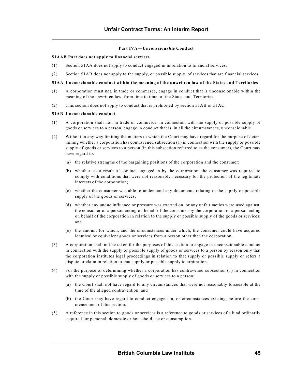#### **Part IVA—Unconscionable Conduct**

#### **51AAB Part does not apply to financial services**

- (1) Section 51AA does not apply to conduct engaged in in relation to financial services.
- (2) Section 51AB does not apply to the supply, or possible supply, of services that are financial services.

#### **51AA Unconscionable conduct within the meaning of the unwritten law of the States and Territories**

- (1) A corporation must not, in trade or commerce, engage in conduct that is unconscionable within the meaning of the unwritten law, from time to time, of the States and Territories.
- (2) This section does not apply to conduct that is prohibited by section 51AB or 51AC.

#### **51AB Unconscionable conduct**

- (1) A corporation shall not, in trade or commerce, in connection with the supply or possible supply of goods or services to a person, engage in conduct that is, in all the circumstances, unconscionable.
- (2) Without in any way limiting the matters to which the Court may have regard for the purpose of determining whether a corporation has contravened subsection (1) in connection with the supply or possible supply of goods or services to a person (in this subsection referred to as the consumer), the Court may have regard to:
	- (a) the relative strengths of the bargaining positions of the corporation and the consumer;
	- (b) whether, as a result of conduct engaged in by the corporation, the consumer was required to comply with conditions that were not reasonably necessary for the protection of the legitimate interests of the corporation;
	- (c) whether the consumer was able to understand any documents relating to the supply or possible supply of the goods or services;
	- (d) whether any undue influence or pressure was exerted on, or any unfair tactics were used against, the consumer or a person acting on behalf of the consumer by the corporation or a person acting on behalf of the corporation in relation to the supply or possible supply of the goods or services; and
	- (e) the amount for which, and the circumstances under which, the consumer could have acquired identical or equivalent goods or services from a person other than the corporation.
- (3) A corporation shall not be taken for the purposes of this section to engage in unconscionable conduct in connection with the supply or possible supply of goods or services to a person by reason only that the corporation institutes legal proceedings in relation to that supply or possible supply or refers a dispute or claim in relation to that supply or possible supply to arbitration.
- (4) For the purpose of determining whether a corporation has contravened subsection (1) in connection with the supply or possible supply of goods or services to a person:
	- (a) the Court shall not have regard to any circumstances that were not reasonably forseeable at the time of the alleged contravention; and
	- (b) the Court may have regard to conduct engaged in, or circumstances existing, before the commencement of this section.
- (5) A reference in this section to goods or services is a reference to goods or services of a kind ordinarily acquired for personal, domestic or household use or consumption.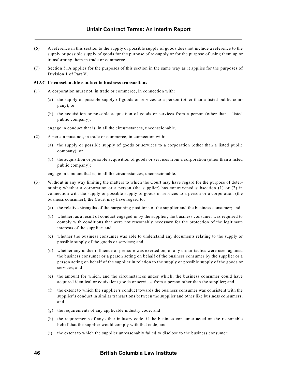- (6) A reference in this section to the supply or possible supply of goods does not include a reference to the supply or possible supply of goods for the purpose of re-supply or for the purpose of using them up or transforming them in trade or commerce.
- (7) Section 51A applies for the purposes of this section in the same way as it applies for the purposes of Division 1 of Part V.

#### **51AC Unconscionable conduct in business transactions**

- (1) A corporation must not, in trade or commerce, in connection with:
	- (a) the supply or possible supply of goods or services to a person (other than a listed public company); or
	- (b) the acquisition or possible acquisition of goods or services from a person (other than a listed public company);

engage in conduct that is, in all the circumstances, unconscionable.

- (2) A person must not, in trade or commerce, in connection with:
	- (a) the supply or possible supply of goods or services to a corporation (other than a listed public company); or
	- (b) the acquisition or possible acquisition of goods or services from a corporation (other than a listed public company);

engage in conduct that is, in all the circumstances, unconscionable.

- (3) Without in any way limiting the matters to which the Court may have regard for the purpose of determining whether a corporation or a person (the supplier) has contravened subsection (1) or (2) in connection with the supply or possible supply of goods or services to a person or a corporation (the business consumer), the Court may have regard to:
	- (a) the relative strengths of the bargaining positions of the supplier and the business consumer; and
	- (b) whether, as a result of conduct engaged in by the supplier, the business consumer was required to comply with conditions that were not reasonably necessary for the protection of the legitimate interests of the supplier; and
	- (c) whether the business consumer was able to understand any documents relating to the supply or possible supply of the goods or services; and
	- (d) whether any undue influence or pressure was exerted on, or any unfair tactics were used against, the business consumer or a person acting on behalf of the business consumer by the supplier or a person acting on behalf of the supplier in relation to the supply or possible supply of the goods or services; and
	- (e) the amount for which, and the circumstances under which, the business consumer could have acquired identical or equivalent goods or services from a person other than the supplier; and
	- (f) the extent to which the supplier's conduct towards the business consumer was consistent with the supplier's conduct in similar transactions between the supplier and other like business consumers; and
	- (g) the requirements of any applicable industry code; and
	- (h) the requirements of any other industry code, if the business consumer acted on the reasonable belief that the supplier would comply with that code; and
	- (i) the extent to which the supplier unreasonably failed to disclose to the business consumer: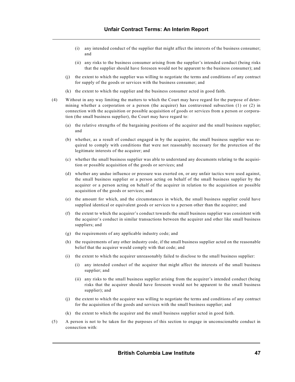- (i) any intended conduct of the supplier that might affect the interests of the business consumer; and
- (ii) any risks to the business consumer arising from the supplier's intended conduct (being risks that the supplier should have foreseen would not be apparent to the business consumer); and
- (j) the extent to which the supplier was willing to negotiate the terms and conditions of any contract for supply of the goods or services with the business consumer; and
- (k) the extent to which the supplier and the business consumer acted in good faith.
- (4) Without in any way limiting the matters to which the Court may have regard for the purpose of determining whether a corporation or a person (the acquirer) has contravened subsection (1) or (2) in connection with the acquisition or possible acquisition of goods or services from a person or corporation (the small business supplier), the Court may have regard to:
	- (a) the relative strengths of the bargaining positions of the acquirer and the small business supplier; and
	- (b) whether, as a result of conduct engaged in by the acquirer, the small business supplier was required to comply with conditions that were not reasonably necessary for the protection of the legitimate interests of the acquirer; and
	- (c) whether the small business supplier was able to understand any documents relating to the acquisition or possible acquisition of the goods or services; and
	- (d) whether any undue influence or pressure was exerted on, or any unfair tactics were used against, the small business supplier or a person acting on behalf of the small business supplier by the acquirer or a person acting on behalf of the acquirer in relation to the acquisition or possible acquisition of the goods or services; and
	- (e) the amount for which, and the circumstances in which, the small business supplier could have supplied identical or equivalent goods or services to a person other than the acquirer; and
	- (f) the extent to which the acquirer's conduct towards the small business supplier was consistent with the acquirer's conduct in similar transactions between the acquirer and other like small business suppliers; and
	- (g) the requirements of any applicable industry code; and
	- (h) the requirements of any other industry code, if the small business supplier acted on the reasonable belief that the acquirer would comply with that code; and
	- (i) the extent to which the acquirer unreasonably failed to disclose to the small business supplier:
		- (i) any intended conduct of the acquirer that might affect the interests of the small business supplier; and
		- (ii) any risks to the small business supplier arising from the acquirer's intended conduct (being risks that the acquirer should have foreseen would not be apparent to the small business supplier); and
	- (j) the extent to which the acquirer was willing to negotiate the terms and conditions of any contract for the acquisition of the goods and services with the small business supplier; and
	- (k) the extent to which the acquirer and the small business supplier acted in good faith.
- (5) A person is not to be taken for the purposes of this section to engage in unconscionable conduct in connection with: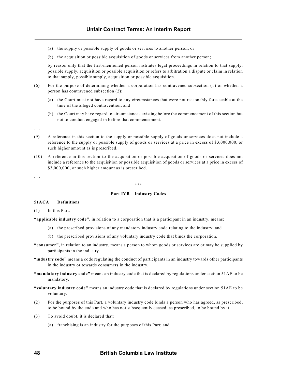- (a) the supply or possible supply of goods or services to another person; or
- (b) the acquisition or possible acquisition of goods or services from another person;

by reason only that the first-mentioned person institutes legal proceedings in relation to that supply, possible supply, acquisition or possible acquisition or refers to arbitration a dispute or claim in relation to that supply, possible supply, acquisition or possible acquisition.

- (6) For the purpose of determining whether a corporation has contravened subsection (1) or whether a person has contravened subsection (2):
	- (a) the Court must not have regard to any circumstances that were not reasonably foreseeable at the time of the alleged contravention; and
	- (b) the Court may have regard to circumstances existing before the commencement of this section but not to conduct engaged in before that commencement.

. . .

- (9) A reference in this section to the supply or possible supply of goods or services does not include a reference to the supply or possible supply of goods or services at a price in excess of \$3,000,000, or such higher amount as is prescribed.
- (10) A reference in this section to the acquisition or possible acquisition of goods or services does not include a reference to the acquisition or possible acquisition of goods or services at a price in excess of \$3,000,000, or such higher amount as is prescribed.

. . .

**\*\*\***

#### **Part IVB—Industry Codes**

#### **51ACA Definitions**

(1) In this Part:

**"applicable industry code"**, in relation to a corporation that is a participant in an industry, means:

- (a) the prescribed provisions of any mandatory industry code relating to the industry; and
- (b) the prescribed provisions of any voluntary industry code that binds the corporation.
- **"consumer"**, in relation to an industry, means a person to whom goods or services are or may be supplied by participants in the industry.
- **"industry code"** means a code regulating the conduct of participants in an industry towards other participants in the industry or towards consumers in the industry.
- **"mandatory industry code"** means an industry code that is declared by regulations under section 51AE to be mandatory.
- **"voluntary industry code"** means an industry code that is declared by regulations under section 51AE to be voluntary.
- (2) For the purposes of this Part, a voluntary industry code binds a person who has agreed, as prescribed, to be bound by the code and who has not subsequently ceased, as prescribed, to be bound by it.
- (3) To avoid doubt, it is declared that:
	- (a) franchising is an industry for the purposes of this Part; and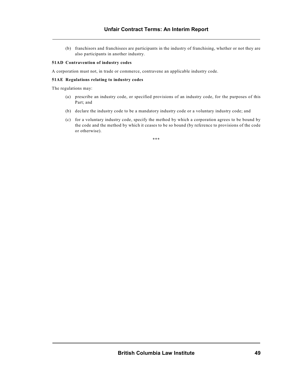(b) franchisors and franchisees are participants in the industry of franchising, whether or not they are also participants in another industry.

#### **51AD Contravention of industry codes**

A corporation must not, in trade or commerce, contravene an applicable industry code.

#### **51AE Regulations relating to industry codes**

The regulations may:

- (a) prescribe an industry code, or specified provisions of an industry code, for the purposes of this Part; and
- (b) declare the industry code to be a mandatory industry code or a voluntary industry code; and
- (c) for a voluntary industry code, specify the method by which a corporation agrees to be bound by the code and the method by which it ceases to be so bound (by reference to provisions of the code or otherwise).

**\*\*\***